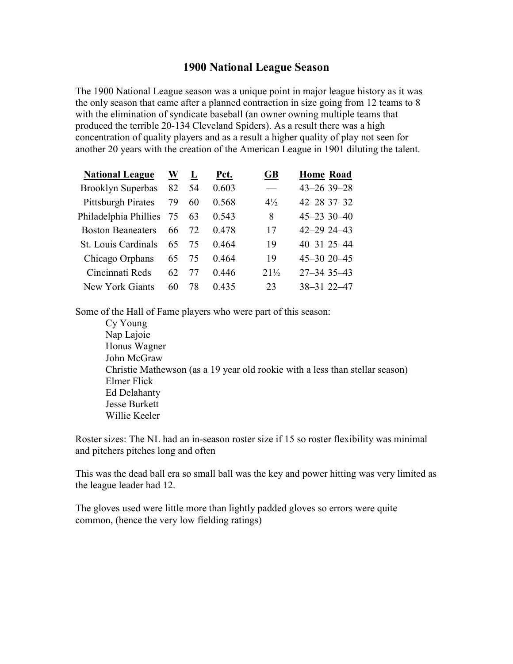## 1900 National League Season

The 1900 National League season was a unique point in major league history as it was the only season that came after a planned contraction in size going from 12 teams to 8 with the elimination of syndicate baseball (an owner owning multiple teams that produced the terrible 20-134 Cleveland Spiders). As a result there was a high concentration of quality players and as a result a higher quality of play not seen for another 20 years with the creation of the American League in 1901 diluting the talent.

| <b>National League</b>     | W  | L  | Pct.  | GB                       | <b>Home Road</b>   |
|----------------------------|----|----|-------|--------------------------|--------------------|
| Brooklyn Superbas          | 82 | 54 | 0.603 | $\overline{\phantom{a}}$ | 43-26 39-28        |
| <b>Pittsburgh Pirates</b>  | 79 | 60 | 0.568 | $4\frac{1}{2}$           | $42 - 283 - 32$    |
| Philadelphia Phillies 75   |    | 63 | 0.543 | 8                        | $45 - 233 - 40$    |
| <b>Boston Beaneaters</b>   | 66 | 72 | 0.478 | 17                       | $42 - 2924 - 43$   |
| <b>St. Louis Cardinals</b> | 65 | 75 | 0.464 | 19                       | $40 - 31$ 25 $-44$ |
| Chicago Orphans            | 65 | 75 | 0.464 | 19                       | $45 - 3020 - 45$   |
| Cincinnati Reds            | 62 |    | 0.446 | $21\frac{1}{2}$          | $27 - 343 - 43$    |
| New York Giants            | 60 | 78 | 0.435 | 23                       | 38-31 22-47        |

Some of the Hall of Fame players who were part of this season:

Cy Young Nap Lajoie Honus Wagner John McGraw Christie Mathewson (as a 19 year old rookie with a less than stellar season) Elmer Flick Ed Delahanty Jesse Burkett Willie Keeler

Roster sizes: The NL had an in-season roster size if 15 so roster flexibility was minimal and pitchers pitches long and often

This was the dead ball era so small ball was the key and power hitting was very limited as the league leader had 12.

The gloves used were little more than lightly padded gloves so errors were quite common, (hence the very low fielding ratings)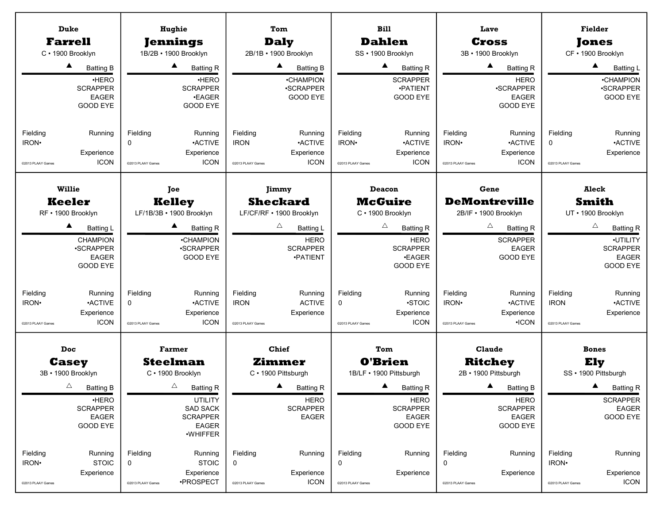| <b>Bill</b><br><b>Duke</b><br>Hughie<br>Tom<br>Lave                                                                                                                                                                                                                                          |                                      |
|----------------------------------------------------------------------------------------------------------------------------------------------------------------------------------------------------------------------------------------------------------------------------------------------|--------------------------------------|
|                                                                                                                                                                                                                                                                                              | <b>Fielder</b>                       |
| <b>Dahlen</b><br><b>Farrell</b><br><b>Jennings</b><br><b>Daly</b><br><b>Cross</b>                                                                                                                                                                                                            | Jones                                |
| C · 1900 Brooklyn<br>1B/2B · 1900 Brooklyn<br>2B/1B · 1900 Brooklyn<br>SS · 1900 Brooklyn<br>3B · 1900 Brooklyn                                                                                                                                                                              | CF · 1900 Brooklyn                   |
| ▲<br>$\blacktriangle$<br>$\blacktriangle$<br>▲<br>▲<br><b>Batting R</b><br><b>Batting B</b><br><b>Batting R</b><br><b>Batting B</b><br><b>Batting R</b>                                                                                                                                      | ▲<br><b>Batting L</b>                |
| <b>HERO</b><br>·HERO<br><b>HERO</b><br>•CHAMPION<br><b>SCRAPPER</b>                                                                                                                                                                                                                          | <b>•CHAMPION</b>                     |
| <b>SCRAPPER</b><br><b>SCRAPPER</b><br>·SCRAPPER<br>·SCRAPPER<br>·PATIENT<br><b>EAGER</b><br><b>•EAGER</b><br><b>GOOD EYE</b><br><b>GOOD EYE</b><br><b>EAGER</b>                                                                                                                              | ·SCRAPPER<br>GOOD EYE                |
| GOOD EYE<br><b>GOOD EYE</b><br>GOOD EYE                                                                                                                                                                                                                                                      |                                      |
|                                                                                                                                                                                                                                                                                              |                                      |
| Fielding<br>Fielding<br>Running<br>Fielding<br>Running<br>Fielding<br>Running<br>Fielding<br>Fielding<br>Running<br>Running                                                                                                                                                                  | Running                              |
| <b>ACTIVE</b><br><b>ACTIVE</b><br><b>ACTIVE</b><br><b>ACTIVE</b><br>IRON <sup>.</sup><br>$\Omega$<br><b>IRON</b><br>IRON <sup>.</sup><br>IRON.<br>$\mathbf 0$                                                                                                                                | <b>•ACTIVE</b>                       |
| Experience<br>Experience<br>Experience<br>Experience<br>Experience                                                                                                                                                                                                                           | Experience                           |
| <b>ICON</b><br><b>ICON</b><br><b>ICON</b><br><b>ICON</b><br><b>ICON</b><br>@2013 PLAAY Games<br>@2013 PLAAY Games<br>@2013 PLAAY Games<br>@2013 PLAAY Games<br>@2013 PLAAY Games                                                                                                             | @2013 PLAAY Games                    |
| <b>Willie</b><br>Gene<br>Deacon                                                                                                                                                                                                                                                              | <b>Aleck</b>                         |
| Joe<br>Jimmy<br><b>Sheckard</b><br><b>McGuire</b><br><b>DeMontreville</b><br><b>Keeler</b><br><b>Kelley</b>                                                                                                                                                                                  | <b>Smith</b>                         |
| RF · 1900 Brooklyn<br>LF/1B/3B · 1900 Brooklyn<br>LF/CF/RF · 1900 Brooklyn<br>C · 1900 Brooklyn<br>2B/IF . 1900 Brooklyn                                                                                                                                                                     | UT · 1900 Brooklyn                   |
| Δ<br>$\triangle$<br>Δ<br>▲<br>▲<br><b>Batting L</b><br><b>Batting R</b><br><b>Batting L</b><br><b>Batting R</b><br><b>Batting R</b>                                                                                                                                                          | $\triangle$<br><b>Batting R</b>      |
| <b>HERO</b><br><b>CHAMPION</b><br>•CHAMPION<br><b>HERO</b><br><b>SCRAPPER</b>                                                                                                                                                                                                                | ·UTILITY                             |
| <b>SCRAPPER</b><br><b>.SCRAPPER</b><br><b>.SCRAPPER</b><br><b>SCRAPPER</b><br><b>EAGER</b>                                                                                                                                                                                                   | <b>SCRAPPER</b>                      |
| EAGER<br><b>GOOD EYE</b><br><b>•PATIENT</b><br>•EAGER<br>GOOD EYE                                                                                                                                                                                                                            | <b>EAGER</b>                         |
| <b>GOOD EYE</b><br><b>GOOD EYE</b>                                                                                                                                                                                                                                                           | GOOD EYE                             |
|                                                                                                                                                                                                                                                                                              |                                      |
| Fielding<br>Running<br>Fielding<br>Running<br>Fielding<br>Fielding<br>Running<br>Fielding<br>Fielding<br>Running<br>Running<br>IRON <sup>.</sup><br><b>ACTIVE</b><br>0<br><b>ACTIVE</b><br><b>IRON</b><br><b>ACTIVE</b><br><b>STOIC</b><br>IRON.<br><b>ACTIVE</b><br><b>IRON</b><br>$\Omega$ | Running<br><b>•ACTIVE</b>            |
| Experience<br>Experience<br>Experience<br>Experience<br>Experience                                                                                                                                                                                                                           | Experience                           |
| <b>ICON</b><br><b>ICON</b><br>$\cdot$ ICON<br><b>ICON</b><br>@2013 PLAAY Games<br>@2013 PLAAY Games<br>@2013 PLAAY Games<br>@2013 PLAAY Games<br>@2013 PLAAY Games                                                                                                                           | @2013 PLAAY Games                    |
|                                                                                                                                                                                                                                                                                              |                                      |
| <b>Chief</b><br>Doc<br><b>Farmer</b><br>Tom<br><b>Claude</b>                                                                                                                                                                                                                                 | <b>Bones</b>                         |
| <b>O'Brien</b><br><b>Steelman</b><br><b>Zimmer</b><br><b>Ritchey</b><br><b>Casey</b>                                                                                                                                                                                                         | Ely                                  |
| 2B · 1900 Pittsburgh<br>3B · 1900 Brooklyn<br>C · 1900 Brooklyn<br>C · 1900 Pittsburgh<br>1B/LF · 1900 Pittsburgh                                                                                                                                                                            | SS · 1900 Pittsburgh                 |
| $\triangle$<br>$\triangle$<br>$\blacktriangle$<br><b>A</b><br><b>Batting R</b><br><b>Batting R</b><br><b>Batting R</b><br><b>Batting B</b><br><b>Batting B</b>                                                                                                                               | $\blacktriangle$<br><b>Batting R</b> |
| <b>UTILITY</b><br><b>HERO</b><br><b>HERO</b><br>·HERO<br><b>HERO</b>                                                                                                                                                                                                                         | <b>SCRAPPER</b>                      |
| <b>SCRAPPER</b><br><b>SAD SACK</b><br><b>SCRAPPER</b><br><b>SCRAPPER</b><br><b>SCRAPPER</b><br>EAGER<br><b>SCRAPPER</b><br><b>EAGER</b><br>EAGER<br><b>EAGER</b>                                                                                                                             | EAGER<br>GOOD EYE                    |
| <b>GOOD EYE</b><br>GOOD EYE<br><b>EAGER</b><br><b>GOOD EYE</b>                                                                                                                                                                                                                               |                                      |
| ·WHIFFER                                                                                                                                                                                                                                                                                     |                                      |
| Fielding<br>Fielding<br>Fielding<br>Fielding<br>Fielding<br>Running<br>Running<br>Running<br>Running<br>Fielding<br>Running                                                                                                                                                                  | Running                              |
| <b>STOIC</b><br><b>STOIC</b><br>IRON <sup>.</sup><br>0<br>0<br>0<br>IRON <sup>.</sup><br>0                                                                                                                                                                                                   |                                      |
| Experience<br>Experience<br>Experience<br>Experience<br>Experience                                                                                                                                                                                                                           | Experience                           |
| ·PROSPECT<br><b>ICON</b><br>@2013 PLAAY Games<br>@2013 PLAAY Games<br>@2013 PLAAY Games<br>@2013 PLAAY Games<br>@2013 PLAAY Games                                                                                                                                                            | ICON<br>@2013 PLAAY Games            |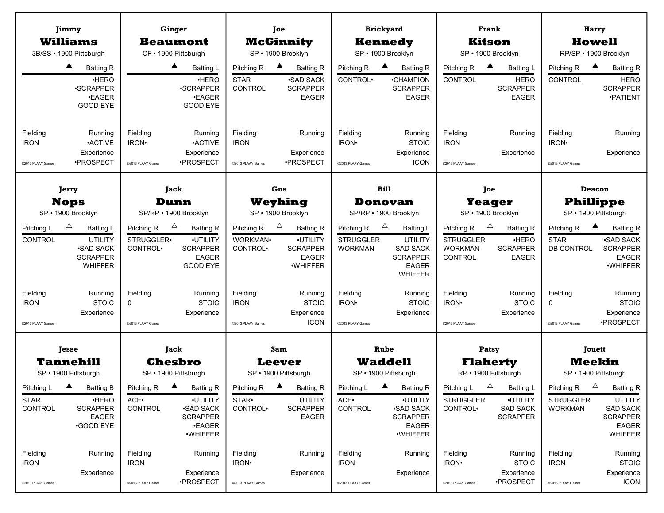|                                              | Jimmy                                                                                               |                                                  | Ginger                                                                                                               |                                                            | Joe                                                                       |                                                    | <b>Brickyard</b>                                                                                                          |                                                                    | <b>Frank</b>                                                                      |                                                    | Harry                                                                                                              |
|----------------------------------------------|-----------------------------------------------------------------------------------------------------|--------------------------------------------------|----------------------------------------------------------------------------------------------------------------------|------------------------------------------------------------|---------------------------------------------------------------------------|----------------------------------------------------|---------------------------------------------------------------------------------------------------------------------------|--------------------------------------------------------------------|-----------------------------------------------------------------------------------|----------------------------------------------------|--------------------------------------------------------------------------------------------------------------------|
|                                              | <b>Williams</b><br>3B/SS · 1900 Pittsburgh                                                          |                                                  | <b>Beaumont</b><br>CF · 1900 Pittsburgh                                                                              |                                                            | <b>McGinnity</b><br>SP · 1900 Brooklyn                                    |                                                    | <b>Kennedy</b><br>SP · 1900 Brooklyn                                                                                      |                                                                    | <b>Kitson</b><br>SP · 1900 Brooklyn                                               |                                                    | <b>Howell</b><br>RP/SP · 1900 Brooklyn                                                                             |
|                                              | ▲<br><b>Batting R</b>                                                                               |                                                  | ▲<br><b>Batting L</b>                                                                                                | Pitching R                                                 | ▲<br><b>Batting R</b>                                                     | Pitching R                                         | $\blacktriangle$<br><b>Batting R</b>                                                                                      | Pitching R                                                         | ▲<br><b>Batting L</b>                                                             | Pitching R                                         | <b>Batting R</b>                                                                                                   |
|                                              | ·HERO<br>·SCRAPPER<br><b>.EAGER</b><br>GOOD EYE                                                     |                                                  | ·HERO<br><b>.SCRAPPER</b><br><b>.EAGER</b><br><b>GOOD EYE</b>                                                        | <b>STAR</b><br>CONTROL                                     | <b>SAD SACK</b><br><b>SCRAPPER</b><br>EAGER                               | CONTROL <sup>.</sup>                               | •CHAMPION<br><b>SCRAPPER</b><br><b>EAGER</b>                                                                              | CONTROL                                                            | <b>HERO</b><br><b>SCRAPPER</b><br><b>EAGER</b>                                    | CONTROL                                            | <b>HERO</b><br><b>SCRAPPER</b><br>·PATIENT                                                                         |
| Fielding<br><b>IRON</b><br>@2013 PLAAY Games | Running<br><b>-ACTIVE</b><br>Experience<br>·PROSPECT                                                | Fielding<br>IRON·<br>@2013 PLAAY Games           | Running<br><b>ACTIVE</b><br>Experience<br>•PROSPECT                                                                  | Fielding<br><b>IRON</b><br>@2013 PLAAY Games               | Running<br>Experience<br>•PROSPECT                                        | Fielding<br>IRON·<br>@2013 PLAAY Games             | Running<br><b>STOIC</b><br>Experience<br><b>ICON</b>                                                                      | Fielding<br><b>IRON</b><br>@2013 PLAAY Games                       | Running<br>Experience                                                             | Fielding<br>IRON <sup>.</sup><br>@2013 PLAAY Games | Running<br>Experience                                                                                              |
|                                              | Jerry                                                                                               |                                                  | Jack                                                                                                                 |                                                            | Gus                                                                       |                                                    | <b>Bill</b>                                                                                                               | Joe                                                                |                                                                                   |                                                    | <b>Deacon</b>                                                                                                      |
|                                              | <b>Nops</b>                                                                                         |                                                  | Dunn                                                                                                                 |                                                            | Weyhing                                                                   |                                                    | <b>Donovan</b>                                                                                                            | <b>Yeager</b>                                                      |                                                                                   |                                                    | <b>Phillippe</b>                                                                                                   |
|                                              | SP · 1900 Brooklyn                                                                                  |                                                  | SP/RP · 1900 Brooklyn                                                                                                |                                                            | SP · 1900 Brooklyn                                                        |                                                    | SP/RP · 1900 Brooklyn                                                                                                     |                                                                    | SP · 1900 Brooklyn                                                                |                                                    | SP · 1900 Pittsburgh                                                                                               |
| Pitching L<br>CONTROL                        | Δ<br><b>Batting L</b><br>UTILITY<br><b>.SAD SACK</b><br><b>SCRAPPER</b><br><b>WHIFFER</b>           | Pitching R<br>STRUGGLER•<br>CONTROL <sup>.</sup> | $\triangle$<br><b>Batting R</b><br>·UTILITY<br><b>SCRAPPER</b><br><b>EAGER</b><br>GOOD EYE                           | Pitching R<br>WORKMAN <sup>.</sup><br>CONTROL <sup>.</sup> | Δ<br><b>Batting R</b><br>·UTILITY<br><b>SCRAPPER</b><br>EAGER<br>·WHIFFER | Pitching R<br><b>STRUGGLER</b><br><b>WORKMAN</b>   | $\triangle$<br><b>Batting L</b><br><b>UTILITY</b><br><b>SAD SACK</b><br><b>SCRAPPER</b><br><b>EAGER</b><br><b>WHIFFER</b> | Pitching R<br><b>STRUGGLER</b><br><b>WORKMAN</b><br><b>CONTROL</b> | $\triangle$<br><b>Batting R</b><br>·HERO<br><b>SCRAPPER</b><br><b>EAGER</b>       | Pitching R<br><b>STAR</b><br>DB CONTROL            | <b>Batting R</b><br><b>-SAD SACK</b><br><b>SCRAPPER</b><br><b>EAGER</b><br>·WHIFFER                                |
| Fielding<br><b>IRON</b><br>@2013 PLAAY Games | Running<br><b>STOIC</b><br>Experience                                                               | Fielding<br>0<br>@2013 PLAAY Games               | Running<br><b>STOIC</b><br>Experience                                                                                | Fielding<br><b>IRON</b><br>@2013 PLAAY Games               | Running<br><b>STOIC</b><br>Experience<br><b>ICON</b>                      | Fielding<br>IRON <sup>®</sup><br>@2013 PLAAY Games | Running<br><b>STOIC</b><br>Experience                                                                                     | Fielding<br>IRON <sup>.</sup><br>@2013 PLAAY Games                 | Running<br><b>STOIC</b><br>Experience                                             | Fielding<br>$\Omega$<br>@2013 PLAAY Games          | Running<br><b>STOIC</b><br>Experience<br>·PROSPECT                                                                 |
|                                              |                                                                                                     |                                                  |                                                                                                                      |                                                            |                                                                           |                                                    |                                                                                                                           |                                                                    |                                                                                   |                                                    |                                                                                                                    |
|                                              | Jesse<br><b>Tannehill</b>                                                                           |                                                  | Jack<br><b>Chesbro</b>                                                                                               |                                                            | Sam<br>Leever                                                             |                                                    | Rube<br><b>Waddell</b>                                                                                                    |                                                                    | Patsy<br><b>Flaherty</b>                                                          |                                                    | <b>Jouett</b><br><b>Meekin</b>                                                                                     |
|                                              | SP · 1900 Pittsburgh                                                                                |                                                  | SP · 1900 Pittsburgh                                                                                                 |                                                            | SP · 1900 Pittsburgh                                                      |                                                    | SP · 1900 Pittsburgh                                                                                                      |                                                                    | RP · 1900 Pittsburgh                                                              |                                                    | SP · 1900 Pittsburgh                                                                                               |
| Pitching L<br><b>STAR</b><br>CONTROL         | $\blacktriangle$<br><b>Batting B</b><br>·HERO<br><b>SCRAPPER</b><br><b>EAGER</b><br><b>GOOD EYE</b> | Pitching R<br>ACE.<br><b>CONTROL</b>             | $\blacktriangle$<br><b>Batting R</b><br>·UTILITY<br><b>.SAD SACK</b><br><b>SCRAPPER</b><br><b>.EAGER</b><br>·WHIFFER | Pitching R<br>STAR <sup>.</sup><br>CONTROL <sup>.</sup>    | <b>Batting R</b><br><b>UTILITY</b><br><b>SCRAPPER</b><br><b>EAGER</b>     | Pitching L<br>ACE.<br>CONTROL                      | <b>Batting R</b><br>·UTILITY<br><b>•SAD SACK</b><br><b>SCRAPPER</b><br><b>EAGER</b><br>·WHIFFER                           | Pitching L<br><b>STRUGGLER</b><br>CONTROL <sup>.</sup>             | $\triangle$<br><b>Batting L</b><br>·UTILITY<br><b>SAD SACK</b><br><b>SCRAPPER</b> | Pitching R<br><b>STRUGGLER</b><br><b>WORKMAN</b>   | $\triangle$<br><b>Batting R</b><br><b>UTILITY</b><br><b>SAD SACK</b><br><b>SCRAPPER</b><br><b>EAGER</b><br>WHIFFER |
| Fielding<br><b>IRON</b><br>@2013 PLAAY Games | Running<br>Experience                                                                               | Fielding<br><b>IRON</b><br>@2013 PLAAY Games     | Running<br>Experience<br>·PROSPECT                                                                                   | Fielding<br>IRON <sup>.</sup><br>@2013 PLAAY Games         | Running<br>Experience                                                     | Fielding<br><b>IRON</b><br>@2013 PLAAY Games       | Running<br>Experience                                                                                                     | Fielding<br>IRON <sup>.</sup><br>@2013 PLAAY Games                 | Running<br><b>STOIC</b><br>Experience<br>·PROSPECT                                | Fielding<br><b>IRON</b><br>@2013 PLAAY Games       | Running<br><b>STOIC</b><br>Experience<br><b>ICON</b>                                                               |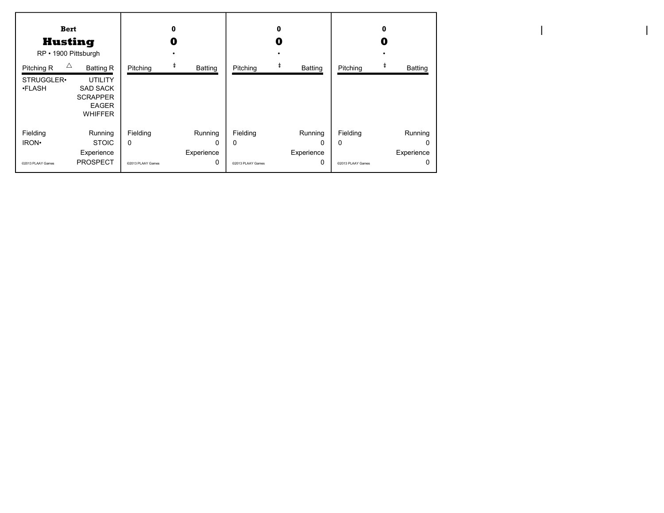| <b>Bert</b><br><b>Husting</b><br>RP · 1900 Pittsburgh |                                                                                                            |                   | $\bf{0}$<br>O |                   | $\bf{0}$<br>0 |                   | 0<br>O         |
|-------------------------------------------------------|------------------------------------------------------------------------------------------------------------|-------------------|---------------|-------------------|---------------|-------------------|----------------|
| Δ<br>Pitching R<br>STRUGGLER.<br><b>•FLASH</b>        | <b>Batting R</b><br><b>UTILITY</b><br><b>SAD SACK</b><br><b>SCRAPPER</b><br><b>EAGER</b><br><b>WHIFFER</b> | Pitching          | ŧ<br>Batting  | Pitching          | ŧ<br>Batting  | Pitching          | <b>Batting</b> |
| Fielding                                              | Running                                                                                                    | Fielding          | Running       | Fielding          | Running       | Fielding          | Running        |
| IRON <sup>.</sup>                                     | <b>STOIC</b>                                                                                               | 0                 | $\mathbf{0}$  | $\Omega$          | $\Omega$      | $\Omega$          | O              |
|                                                       | Experience                                                                                                 |                   | Experience    |                   | Experience    |                   | Experience     |
| @2013 PLAAY Games                                     | <b>PROSPECT</b>                                                                                            | @2013 PLAAY Games | 0             | @2013 PLAAY Games | 0             | @2013 PLAAY Games | O              |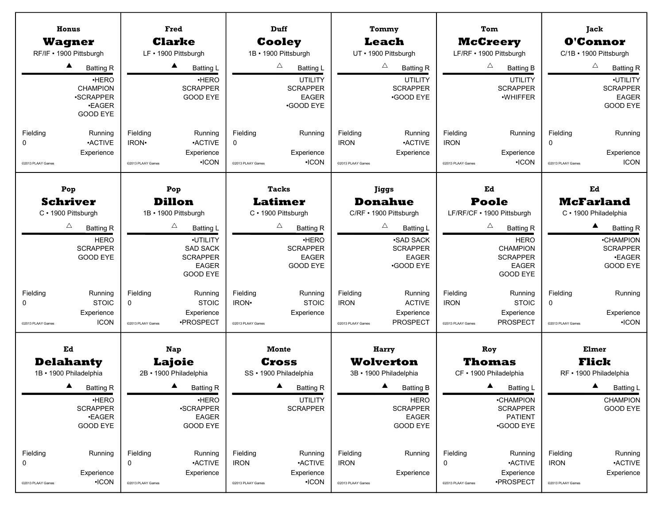|                                                                                                                                                                                                                                                                                                                                                                                                                                                                     | <b>Tacks</b>                                                                                                                                                                                       |                                                                                                                                                                                                                                          |                                                                                                                                                                                                                                             |                                                                                                                                                                                                                     |
|---------------------------------------------------------------------------------------------------------------------------------------------------------------------------------------------------------------------------------------------------------------------------------------------------------------------------------------------------------------------------------------------------------------------------------------------------------------------|----------------------------------------------------------------------------------------------------------------------------------------------------------------------------------------------------|------------------------------------------------------------------------------------------------------------------------------------------------------------------------------------------------------------------------------------------|---------------------------------------------------------------------------------------------------------------------------------------------------------------------------------------------------------------------------------------------|---------------------------------------------------------------------------------------------------------------------------------------------------------------------------------------------------------------------|
| Pop<br>Pop<br><b>Schriver</b><br><b>Dillon</b><br>C · 1900 Pittsburgh<br>1B · 1900 Pittsburgh<br>Δ<br>Δ<br><b>Batting R</b><br><b>Batting L</b><br>·UTILITY<br><b>HERO</b><br><b>SCRAPPER</b><br><b>SAD SACK</b><br><b>GOOD EYE</b><br><b>SCRAPPER</b><br><b>EAGER</b><br><b>GOOD EYE</b><br>Fielding<br>Running<br>Fielding<br>Running<br><b>STOIC</b><br><b>STOIC</b><br>0<br>0                                                                                   | <b>Latimer</b><br>C · 1900 Pittsburgh<br>Δ<br><b>Batting R</b><br>·HERO<br><b>SCRAPPER</b><br><b>EAGER</b><br><b>GOOD EYE</b><br>Fielding<br>Running<br><b>STOIC</b><br>IRON <sup>.</sup>          | Jiggs<br><b>Donahue</b><br>C/RF · 1900 Pittsburgh<br>Δ<br><b>Batting L</b><br><b>.SAD SACK</b><br><b>SCRAPPER</b><br><b>EAGER</b><br>•GOOD EYE<br>Fielding<br>Running<br><b>IRON</b><br><b>ACTIVE</b>                                    | Ed<br><b>Poole</b><br>LF/RF/CF · 1900 Pittsburgh<br>Δ<br><b>Batting R</b><br><b>HERO</b><br><b>CHAMPION</b><br><b>SCRAPPER</b><br>EAGER<br><b>GOOD EYE</b><br>Fielding<br>Running<br><b>IRON</b><br><b>STOIC</b>                            | Ed<br><b>McFarland</b><br>C · 1900 Philadelphia<br>$\blacktriangle$<br><b>Batting R</b><br><b>•CHAMPION</b><br><b>SCRAPPER</b><br><b>.EAGER</b><br>GOOD EYE<br>Fielding<br>Running<br>$\mathbf 0$                   |
| Experience<br>Experience<br><b>ICON</b><br>•PROSPECT<br>@2013 PLAAY Games<br>@2013 PLAAY Games<br>Ed<br>Nap<br><b>Delahanty</b><br><b>Lajoie</b><br>1B · 1900 Philadelphia<br>2B · 1900 Philadelphia<br>$\blacktriangle$<br><b>Batting R</b><br><b>Batting R</b><br>·HERO<br>·HERO<br><b>SCRAPPER</b><br><b>•SCRAPPER</b><br><b>•EAGER</b><br><b>EAGER</b><br>GOOD EYE<br><b>GOOD EYE</b><br>Fielding<br>Running<br>Fielding<br>Running<br><b>-ACTIVE</b><br>0<br>0 | Experience<br>@2013 PLAAY Games<br><b>Monte</b><br>Cross<br>SS · 1900 Philadelphia<br><b>Batting R</b><br><b>UTILITY</b><br><b>SCRAPPER</b><br>Fielding<br>Running<br><b>ACTIVE</b><br><b>IRON</b> | Experience<br><b>PROSPECT</b><br>@2013 PLAAY Games<br>Harry<br><b>Wolverton</b><br>3B · 1900 Philadelphia<br><b>Batting B</b><br><b>HERO</b><br><b>SCRAPPER</b><br><b>EAGER</b><br><b>GOOD EYE</b><br>Fielding<br>Running<br><b>IRON</b> | Experience<br><b>PROSPECT</b><br>@2013 PLAAY Games<br>Roy<br><b>Thomas</b><br>CF · 1900 Philadelphia<br><b>Batting L</b><br><b>•CHAMPION</b><br><b>SCRAPPER</b><br><b>PATIENT</b><br>•GOOD EYE<br>Fielding<br>Running<br><b>ACTIVE</b><br>0 | Experience<br>$\cdot$ ICON<br>@2013 PLAAY Games<br><b>Elmer</b><br>Flick<br>RF · 1900 Philadelphia<br><b>Batting L</b><br><b>CHAMPION</b><br><b>GOOD EYE</b><br>Fielding<br>Running<br><b>ACTIVE</b><br><b>IRON</b> |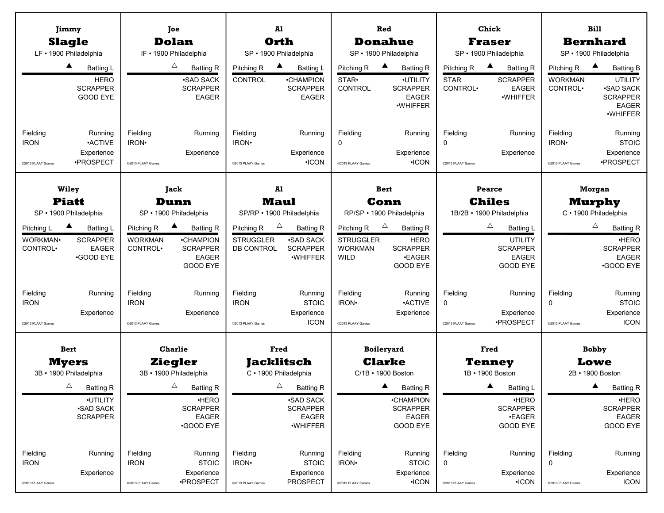|                      | Jimmy                                             |                      | Joe                                                |                   | Al                                                  |                                     | Red                                                     |                                     | Chick                                       |                            | <b>Bill</b>                                                                              |  |
|----------------------|---------------------------------------------------|----------------------|----------------------------------------------------|-------------------|-----------------------------------------------------|-------------------------------------|---------------------------------------------------------|-------------------------------------|---------------------------------------------|----------------------------|------------------------------------------------------------------------------------------|--|
|                      | <b>Slagle</b>                                     |                      | <b>Dolan</b>                                       |                   | Orth                                                |                                     | <b>Donahue</b>                                          |                                     | <b>Fraser</b>                               |                            | <b>Bernhard</b>                                                                          |  |
|                      | LF · 1900 Philadelphia                            |                      | IF . 1900 Philadelphia                             |                   | SP · 1900 Philadelphia                              |                                     | SP · 1900 Philadelphia                                  |                                     | SP · 1900 Philadelphia                      |                            | SP · 1900 Philadelphia                                                                   |  |
|                      | ▲<br>Batting L                                    |                      | Δ<br><b>Batting R</b>                              | Pitching R        | Batting L                                           | Pitching R                          | $\blacktriangle$<br><b>Batting R</b>                    | Pitching R                          | ▲<br><b>Batting R</b>                       | Pitching R                 | <b>Batting B</b>                                                                         |  |
|                      | <b>HERO</b><br><b>SCRAPPER</b><br><b>GOOD EYE</b> |                      | <b>SAD SACK</b><br><b>SCRAPPER</b><br><b>EAGER</b> | CONTROL           | <b>•CHAMPION</b><br><b>SCRAPPER</b><br><b>EAGER</b> | STAR <sup>.</sup><br><b>CONTROL</b> | ·UTILITY<br><b>SCRAPPER</b><br><b>EAGER</b><br>·WHIFFER | <b>STAR</b><br>CONTROL <sup>.</sup> | <b>SCRAPPER</b><br><b>EAGER</b><br>·WHIFFER | <b>WORKMAN</b><br>CONTROL. | <b>UTILITY</b><br><b>.SAD SACK</b><br><b>SCRAPPER</b><br><b>EAGER</b><br><b>.WHIFFER</b> |  |
| Fielding             | Running                                           | Fielding             | Running                                            | Fielding          | Running                                             | Fielding                            | Running                                                 | Fielding                            | Running                                     | Fielding                   | Running                                                                                  |  |
| <b>IRON</b>          | <b>ACTIVE</b><br>Experience                       | IRON·                |                                                    | IRON·             |                                                     | $\mathbf 0$                         | Experience                                              | $\mathbf 0$                         | Experience                                  | IRON <sup>.</sup>          | <b>STOIC</b>                                                                             |  |
| @2013 PLAAY Games    | ·PROSPECT                                         | @2013 PLAAY Games    | Experience                                         | @2013 PLAAY Games | Experience<br>$\cdot$ ICON                          | @2013 PLAAY Games                   | $\cdot$ ICON                                            | @2013 PLAAY Games                   |                                             | @2013 PLAAY Games          | Experience<br>·PROSPECT                                                                  |  |
|                      |                                                   |                      |                                                    |                   |                                                     |                                     |                                                         |                                     |                                             |                            |                                                                                          |  |
|                      | <b>Wiley</b>                                      |                      | Jack                                               |                   | Al                                                  |                                     | <b>Bert</b>                                             |                                     | Pearce<br><b>Morgan</b>                     |                            |                                                                                          |  |
|                      | <b>Piatt</b>                                      |                      | Dunn                                               |                   | <b>Maul</b>                                         |                                     | Conn                                                    | <b>Chiles</b>                       |                                             |                            | <b>Murphy</b>                                                                            |  |
|                      | SP · 1900 Philadelphia                            |                      | SP · 1900 Philadelphia                             |                   | SP/RP · 1900 Philadelphia                           |                                     | RP/SP · 1900 Philadelphia                               | 1B/2B · 1900 Philadelphia           |                                             |                            | C · 1900 Philadelphia                                                                    |  |
| Pitching L           | <b>Batting L</b>                                  | Pitching R           | $\blacktriangle$<br><b>Batting R</b>               | Pitching R        | $\triangle$<br><b>Batting R</b>                     | Pitching R                          | $\triangle$<br><b>Batting R</b>                         | Δ<br><b>Batting L</b>               |                                             |                            | $\triangle$<br><b>Batting R</b>                                                          |  |
| WORKMAN·             | <b>SCRAPPER</b>                                   | <b>WORKMAN</b>       | •CHAMPION                                          | <b>STRUGGLER</b>  | <b>.SAD SACK</b>                                    | <b>STRUGGLER</b>                    | <b>HERO</b>                                             |                                     | <b>UTILITY</b>                              |                            | <b>HERO</b>                                                                              |  |
| CONTROL <sup>.</sup> | <b>EAGER</b><br><b>•GOOD EYE</b>                  | CONTROL <sup>.</sup> | <b>SCRAPPER</b><br><b>EAGER</b>                    | DB CONTROL        | <b>SCRAPPER</b><br>·WHIFFER                         | <b>WORKMAN</b><br>WILD              | <b>SCRAPPER</b><br><b>.EAGER</b>                        |                                     | <b>SCRAPPER</b><br><b>EAGER</b>             |                            | <b>SCRAPPER</b><br><b>EAGER</b>                                                          |  |
|                      |                                                   |                      | GOOD EYE                                           |                   |                                                     |                                     | <b>GOOD EYE</b>                                         |                                     | <b>GOOD EYE</b>                             |                            | •GOOD EYE                                                                                |  |
|                      |                                                   |                      |                                                    |                   |                                                     |                                     |                                                         |                                     |                                             |                            |                                                                                          |  |
| Fielding             | Running                                           | Fielding             | Running                                            | Fielding          | Running                                             | Fielding                            | Running                                                 | Fielding                            | Running                                     | Fielding                   | Running                                                                                  |  |
| <b>IRON</b>          |                                                   | <b>IRON</b>          |                                                    | <b>IRON</b>       | <b>STOIC</b>                                        | IRON·                               | <b>ACTIVE</b>                                           | $\mathbf 0$                         |                                             | $\mathbf 0$                | <b>STOIC</b>                                                                             |  |
|                      | Experience                                        |                      | Experience                                         |                   | Experience                                          |                                     | Experience                                              |                                     | Experience                                  |                            | Experience                                                                               |  |
| @2013 PLAAY Games    |                                                   | @2013 PLAAY Games    |                                                    | @2013 PLAAY Games | <b>ICON</b>                                         | @2013 PLAAY Games                   |                                                         | @2013 PLAAY Games                   | •PROSPECT                                   | @2013 PLAAY Games          | <b>ICON</b>                                                                              |  |
|                      | <b>Bert</b>                                       |                      | <b>Charlie</b>                                     |                   | Fred                                                |                                     | Boileryard                                              |                                     | Fred                                        |                            | <b>Bobby</b>                                                                             |  |
|                      | <b>Myers</b>                                      |                      | Ziegler                                            |                   | <b>Jacklitsch</b>                                   |                                     | <b>Clarke</b>                                           |                                     | Tenney                                      |                            | Lowe                                                                                     |  |
|                      | 3B · 1900 Philadelphia                            |                      | 3B · 1900 Philadelphia                             |                   | C · 1900 Philadelphia                               |                                     | C/1B • 1900 Boston                                      |                                     | 1B · 1900 Boston                            |                            | 2B • 1900 Boston                                                                         |  |
|                      | $\triangle$<br><b>Batting R</b>                   |                      | $\triangle$<br><b>Batting R</b>                    |                   | $\Delta$<br><b>Batting R</b>                        |                                     | <b>Batting R</b>                                        |                                     | <b>Batting L</b>                            |                            | <b>Batting R</b>                                                                         |  |
|                      | ·UTILITY                                          |                      | ·HERO                                              |                   | <b>.SAD SACK</b>                                    |                                     | •CHAMPION                                               |                                     | ·HERO                                       |                            | ·HERO                                                                                    |  |
|                      | <b>-SAD SACK</b><br><b>SCRAPPER</b>               |                      | <b>SCRAPPER</b><br><b>EAGER</b>                    |                   | <b>SCRAPPER</b><br><b>EAGER</b>                     |                                     | <b>SCRAPPER</b><br><b>EAGER</b>                         |                                     | <b>SCRAPPER</b><br><b>•EAGER</b>            |                            | <b>SCRAPPER</b><br>EAGER                                                                 |  |
|                      |                                                   |                      | <b>GOOD EYE</b>                                    |                   | ·WHIFFER                                            |                                     | <b>GOOD EYE</b>                                         |                                     | GOOD EYE                                    |                            | GOOD EYE                                                                                 |  |
|                      |                                                   |                      |                                                    |                   |                                                     |                                     |                                                         |                                     |                                             |                            |                                                                                          |  |
| Fielding             | Running                                           | Fielding             | Running                                            | Fielding          | Running                                             | Fielding                            | Running                                                 | Fielding                            | Running                                     | Fielding                   | Running                                                                                  |  |
| <b>IRON</b>          |                                                   | <b>IRON</b>          | <b>STOIC</b>                                       | IRON <sup>.</sup> | <b>STOIC</b>                                        | <b>IRON</b>                         | <b>STOIC</b>                                            | 0                                   |                                             | 0                          |                                                                                          |  |
|                      | Experience                                        |                      | Experience<br>·PROSPECT                            |                   | Experience<br>PROSPECT                              |                                     | Experience                                              |                                     | Experience                                  |                            | Experience                                                                               |  |
| @2013 PLAAY Games    |                                                   | @2013 PLAAY Games    |                                                    | @2013 PLAAY Games |                                                     | @2013 PLAAY Games                   | $\cdot$ ICON                                            | @2013 PLAAY Games                   | $\cdot$ ICON                                | @2013 PLAAY Games          | <b>ICON</b>                                                                              |  |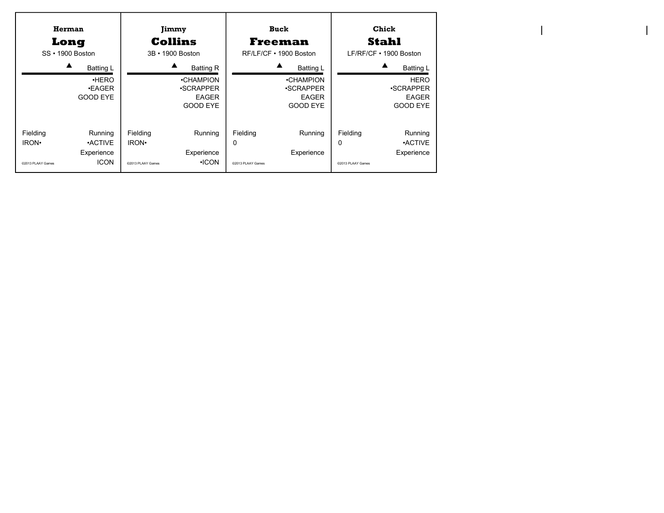| Herman<br>Long<br>SS • 1900 Boston                                                                          | Jimmy<br><b>Collins</b><br>3B • 1900 Boston                                     | Buck<br>Freeman<br>RF/LF/CF • 1900 Boston                          | Chick<br><b>Stahl</b><br>$LF/RF/CF \cdot 1900$ Boston                        |  |  |
|-------------------------------------------------------------------------------------------------------------|---------------------------------------------------------------------------------|--------------------------------------------------------------------|------------------------------------------------------------------------------|--|--|
| ▲<br><b>Batting L</b>                                                                                       | <b>Batting R</b>                                                                | ▲<br><b>Batting L</b>                                              | <b>Batting L</b>                                                             |  |  |
| HERO<br><b>•EAGER</b><br><b>GOOD EYE</b>                                                                    | •CHAMPION<br><b>.SCRAPPER</b><br><b>EAGER</b><br>GOOD EYE                       | •CHAMPION<br><b>•SCRAPPER</b><br><b>EAGER</b><br>GOOD EYE          | <b>HERO</b><br><b>.SCRAPPER</b><br><b>EAGER</b><br><b>GOOD EYE</b>           |  |  |
| Fielding<br>Running<br>IRON <sup>.</sup><br><b>ACTIVE</b><br>Experience<br><b>ICON</b><br>@2013 PLAAY Games | Fielding<br>Running<br>IRON.<br>Experience<br>$\cdot$ ICON<br>@2013 PLAAY Games | Fielding<br>Running<br>$\Omega$<br>Experience<br>@2013 PLAAY Games | Fielding<br>Running<br>0<br><b>ACTIVE</b><br>Experience<br>@2013 PLAAY Games |  |  |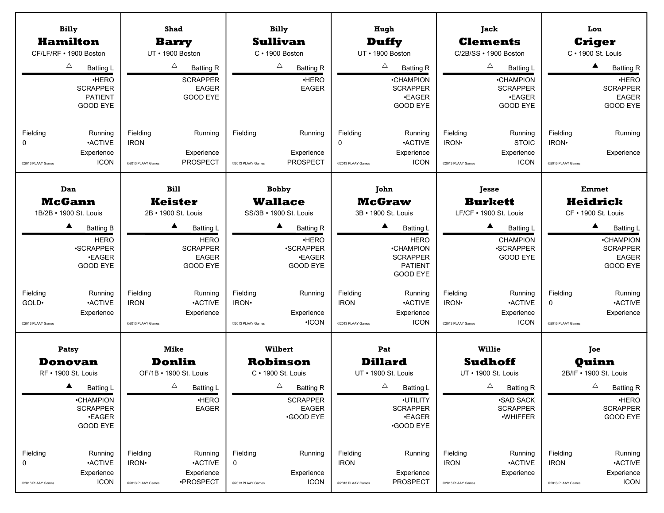| <b>Billy</b>                   |                                   |                               | <b>Shad</b>                             |                   | <b>Billy</b>                                |                         | Hugh                             |                         | Jack                                  |                         | Lou                                  |  |              |
|--------------------------------|-----------------------------------|-------------------------------|-----------------------------------------|-------------------|---------------------------------------------|-------------------------|----------------------------------|-------------------------|---------------------------------------|-------------------------|--------------------------------------|--|--------------|
| <b>Hamilton</b>                |                                   |                               | <b>Barry</b>                            |                   | <b>Sullivan</b>                             |                         | <b>Duffy</b>                     |                         | <b>Clements</b>                       |                         | <b>Criger</b>                        |  |              |
| CF/LF/RF • 1900 Boston         |                                   |                               | UT · 1900 Boston                        |                   | $C \cdot 1900$ Boston                       |                         | UT · 1900 Boston                 |                         | C/2B/SS · 1900 Boston                 |                         | C · 1900 St. Louis                   |  |              |
|                                | Δ<br><b>Batting L</b>             |                               | Δ<br><b>Batting R</b>                   |                   | Δ<br><b>Batting R</b>                       |                         | Δ<br><b>Batting R</b>            |                         | Δ<br><b>Batting L</b>                 |                         | $\blacktriangle$<br><b>Batting R</b> |  |              |
|                                | ·HERO                             |                               | <b>SCRAPPER</b>                         |                   | ·HERO                                       |                         | •CHAMPION                        |                         | <b>•CHAMPION</b>                      |                         | ·HERO                                |  |              |
|                                | <b>SCRAPPER</b><br><b>PATIENT</b> |                               | <b>EAGER</b><br><b>GOOD EYE</b>         |                   | <b>EAGER</b>                                |                         | <b>SCRAPPER</b>                  |                         | <b>SCRAPPER</b>                       |                         | <b>SCRAPPER</b><br><b>EAGER</b>      |  |              |
|                                | <b>GOOD EYE</b>                   |                               |                                         |                   |                                             |                         | <b>•EAGER</b><br><b>GOOD EYE</b> |                         | <b>•EAGER</b><br><b>GOOD EYE</b>      |                         | GOOD EYE                             |  |              |
|                                |                                   |                               |                                         |                   |                                             |                         |                                  |                         |                                       |                         |                                      |  |              |
| Fielding                       | Running                           | Fielding                      | Running                                 | Fielding          | Running                                     | Fielding                | Running                          | Fielding                | Running                               | Fielding                | Running                              |  |              |
| 0                              | <b>ACTIVE</b>                     | <b>IRON</b>                   |                                         |                   |                                             | 0                       | <b>•ACTIVE</b>                   | IRON <sup>.</sup>       | <b>STOIC</b>                          | IRON·                   |                                      |  |              |
|                                | Experience                        |                               | Experience                              |                   | Experience                                  |                         | Experience                       |                         | Experience                            |                         | Experience                           |  |              |
| @2013 PLAAY Games              | <b>ICON</b>                       | @2013 PLAAY Games             | PROSPECT                                | @2013 PLAAY Games | <b>PROSPECT</b>                             | @2013 PLAAY Games       | <b>ICON</b>                      | @2013 PLAAY Games       | <b>ICON</b>                           | @2013 PLAAY Games       |                                      |  |              |
| Dan                            |                                   | <b>Bill</b>                   |                                         |                   | <b>Bobby</b>                                | John                    |                                  | Jesse                   |                                       |                         |                                      |  | <b>Emmet</b> |
| <b>McGann</b>                  |                                   |                               | <b>Keister</b>                          |                   | <b>Wallace</b>                              |                         | <b>McGraw</b>                    |                         | <b>Burkett</b>                        |                         | <b>Heidrick</b>                      |  |              |
| 1B/2B · 1900 St. Louis         |                                   |                               | 2B · 1900 St. Louis                     |                   | SS/3B · 1900 St. Louis                      |                         | 3B · 1900 St. Louis              |                         | LF/CF · 1900 St. Louis                |                         | CF · 1900 St. Louis                  |  |              |
|                                |                                   |                               |                                         |                   |                                             |                         |                                  |                         |                                       |                         |                                      |  |              |
|                                | ▲<br><b>Batting B</b>             |                               | ▲<br><b>Batting L</b>                   |                   | ▲<br><b>Batting R</b>                       |                         | ▲<br><b>Batting L</b>            |                         | $\blacktriangle$<br><b>Batting L</b>  |                         | $\blacktriangle$<br><b>Batting L</b> |  |              |
|                                | <b>HERO</b>                       |                               | <b>HERO</b>                             |                   | ·HERO<br>·SCRAPPER                          |                         | <b>HERO</b>                      |                         | <b>CHAMPION</b>                       |                         | <b>•CHAMPION</b><br><b>SCRAPPER</b>  |  |              |
|                                | <b>•SCRAPPER</b><br><b>.EAGER</b> |                               | <b>SCRAPPER</b><br><b>EAGER</b>         |                   | <b>•EAGER</b>                               |                         | •CHAMPION<br><b>SCRAPPER</b>     |                         | <b>.SCRAPPER</b><br>GOOD EYE          |                         | <b>EAGER</b>                         |  |              |
|                                | <b>GOOD EYE</b>                   |                               | <b>GOOD EYE</b>                         |                   | <b>GOOD EYE</b>                             |                         | <b>PATIENT</b>                   |                         |                                       |                         | GOOD EYE                             |  |              |
|                                |                                   |                               |                                         |                   |                                             |                         | <b>GOOD EYE</b>                  |                         |                                       |                         |                                      |  |              |
| Fielding                       | Running                           | Fielding                      | Running                                 | Fielding          | Running                                     | Fielding                | Running                          | Fielding                | Running                               | Fielding                | Running                              |  |              |
| GOLD <sup>.</sup>              | <b>ACTIVE</b>                     | <b>IRON</b>                   | <b>ACTIVE</b>                           | IRON <sup>.</sup> |                                             | <b>IRON</b>             | <b>ACTIVE</b>                    | IRON·                   | <b>ACTIVE</b>                         | $\mathbf 0$             | <b>ACTIVE</b>                        |  |              |
|                                | Experience                        |                               | Experience                              |                   | Experience                                  |                         | Experience                       |                         | Experience                            |                         | Experience                           |  |              |
| @2013 PLAAY Games              |                                   | @2013 PLAAY Games             |                                         | @2013 PLAAY Games | $\cdot$ ICON                                | @2013 PLAAY Games       | <b>ICON</b>                      | @2013 PLAAY Games       | <b>ICON</b>                           | @2013 PLAAY Games       |                                      |  |              |
| Patsy                          |                                   |                               | <b>Mike</b>                             |                   | <b>Wilbert</b>                              |                         | Pat                              |                         | <b>Willie</b>                         |                         | Joe                                  |  |              |
|                                |                                   |                               |                                         |                   |                                             |                         | <b>Dillard</b>                   |                         |                                       |                         |                                      |  |              |
| Donovan<br>RF • 1900 St. Louis |                                   |                               | <b>Donlin</b><br>OF/1B • 1900 St. Louis |                   | <b>Robinson</b><br>$C \cdot 1900$ St. Louis |                         | UT • 1900 St. Louis              |                         | <b>Sudhoff</b><br>UT · 1900 St. Louis |                         | Quinn<br>2B/IF . 1900 St. Louis      |  |              |
|                                |                                   |                               | $\triangle$                             |                   | $\triangle$                                 |                         | Δ                                |                         | $\triangle$                           |                         | $\triangle$                          |  |              |
|                                | <b>Batting L</b>                  |                               | <b>Batting L</b>                        |                   | <b>Batting R</b>                            |                         | <b>Batting L</b>                 |                         | <b>Batting R</b>                      |                         | <b>Batting R</b>                     |  |              |
|                                | •CHAMPION<br><b>SCRAPPER</b>      |                               | ·HERO<br><b>EAGER</b>                   |                   | <b>SCRAPPER</b><br><b>EAGER</b>             |                         | ·UTILITY<br><b>SCRAPPER</b>      |                         | <b>.SAD SACK</b><br><b>SCRAPPER</b>   |                         | ·HERO<br><b>SCRAPPER</b>             |  |              |
|                                | <b>•EAGER</b>                     |                               |                                         |                   | <b>GOOD EYE</b>                             |                         | <b>.EAGER</b>                    |                         | ·WHIFFER                              |                         | GOOD EYE                             |  |              |
|                                | GOOD EYE                          |                               |                                         |                   |                                             |                         | <b>GOOD EYE</b>                  |                         |                                       |                         |                                      |  |              |
|                                |                                   |                               |                                         |                   |                                             |                         |                                  |                         |                                       |                         |                                      |  |              |
| Fielding<br>0                  | Running<br><b>ACTIVE</b>          | Fielding<br>IRON <sup>.</sup> | Running<br><b>ACTIVE</b>                | Fielding<br>0     | Running                                     | Fielding<br><b>IRON</b> | Running                          | Fielding<br><b>IRON</b> | Running<br><b>ACTIVE</b>              | Fielding<br><b>IRON</b> | Running<br><b>ACTIVE</b>             |  |              |
|                                | Experience                        |                               | Experience                              |                   | Experience                                  |                         | Experience                       |                         | Experience                            |                         | Experience                           |  |              |
| @2013 PLAAY Games              | <b>ICON</b>                       | @2013 PLAAY Games             | ·PROSPECT                               | @2013 PLAAY Games | <b>ICON</b>                                 | @2013 PLAAY Games       | PROSPECT                         | @2013 PLAAY Games       |                                       | @2013 PLAAY Games       | <b>ICON</b>                          |  |              |
|                                |                                   |                               |                                         |                   |                                             |                         |                                  |                         |                                       |                         |                                      |  |              |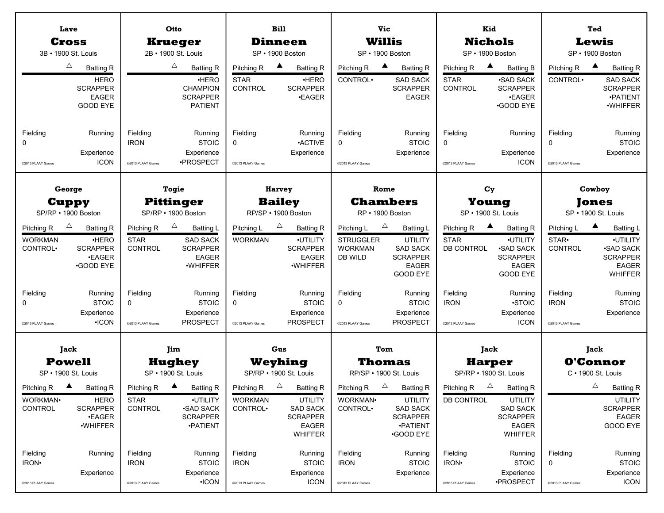|                                                                  | Lave                                                                                                       |                                                         | Otto                                                                                                         |                                                                         | <b>Bill</b>                                                                                           |                                                                         | <b>Vic</b>                                                                                                              |                                                            | Kid                                                                                                                            |                                            | Ted                                                                                                                                  |
|------------------------------------------------------------------|------------------------------------------------------------------------------------------------------------|---------------------------------------------------------|--------------------------------------------------------------------------------------------------------------|-------------------------------------------------------------------------|-------------------------------------------------------------------------------------------------------|-------------------------------------------------------------------------|-------------------------------------------------------------------------------------------------------------------------|------------------------------------------------------------|--------------------------------------------------------------------------------------------------------------------------------|--------------------------------------------|--------------------------------------------------------------------------------------------------------------------------------------|
|                                                                  | <b>Cross</b><br>3B · 1900 St. Louis                                                                        |                                                         | <b>Krueger</b><br>2B · 1900 St. Louis                                                                        |                                                                         | <b>Dinneen</b><br>SP · 1900 Boston                                                                    |                                                                         | <b>Willis</b><br>SP · 1900 Boston                                                                                       |                                                            | <b>Nichols</b><br>SP · 1900 Boston                                                                                             |                                            | Lewis<br>SP · 1900 Boston                                                                                                            |
|                                                                  | $\triangle$<br><b>Batting R</b>                                                                            |                                                         | $\triangle$<br><b>Batting R</b>                                                                              | Pitching R                                                              | $\blacktriangle$<br><b>Batting R</b>                                                                  | Pitching R                                                              | $\blacktriangle$<br><b>Batting R</b>                                                                                    | Pitching R                                                 | $\blacktriangle$<br><b>Batting B</b>                                                                                           | Pitching R                                 | $\blacktriangle$<br><b>Batting R</b>                                                                                                 |
|                                                                  | <b>HERO</b><br><b>SCRAPPER</b><br><b>EAGER</b><br>GOOD EYE                                                 |                                                         | <b>HERO</b><br><b>CHAMPION</b><br><b>SCRAPPER</b><br><b>PATIENT</b>                                          | <b>STAR</b><br><b>CONTROL</b>                                           | <b>HERO</b><br><b>SCRAPPER</b><br><b>•EAGER</b>                                                       | CONTROL <sup>.</sup>                                                    | <b>SAD SACK</b><br><b>SCRAPPER</b><br><b>EAGER</b>                                                                      | <b>STAR</b><br>CONTROL                                     | <b>.SAD SACK</b><br><b>SCRAPPER</b><br><b>.EAGER</b><br><b>•GOOD EYE</b>                                                       | CONTROL <sup>.</sup>                       | <b>SAD SACK</b><br><b>SCRAPPER</b><br>·PATIENT<br>·WHIFFER                                                                           |
| Fielding<br>0<br>@2013 PLAAY Games                               | Running<br>Experience<br><b>ICON</b>                                                                       | Fielding<br><b>IRON</b><br>@2013 PLAAY Games            | Running<br><b>STOIC</b><br>Experience<br>·PROSPECT                                                           | Fielding<br>0<br>@2013 PLAAY Games                                      | Running<br><b>ACTIVE</b><br>Experience                                                                | Fielding<br>0<br>@2013 PLAAY Games                                      | Running<br><b>STOIC</b><br>Experience                                                                                   | Fielding<br>0<br>@2013 PLAAY Games                         | Running<br>Experience<br><b>ICON</b>                                                                                           | Fielding<br>$\Omega$<br>@2013 PLAAY Games  | Running<br><b>STOIC</b><br>Experience                                                                                                |
|                                                                  | George                                                                                                     |                                                         | Togie                                                                                                        |                                                                         | <b>Harvey</b>                                                                                         |                                                                         | Rome                                                                                                                    | $C_{\rm Y}$                                                |                                                                                                                                |                                            | Cowboy                                                                                                                               |
|                                                                  | <b>Cuppy</b><br>SP/RP · 1900 Boston                                                                        |                                                         | <b>Pittinger</b><br>SP/RP · 1900 Boston                                                                      |                                                                         | <b>Bailey</b><br>RP/SP · 1900 Boston                                                                  |                                                                         | <b>Chambers</b><br>RP · 1900 Boston                                                                                     | Young<br>SP · 1900 St. Louis                               |                                                                                                                                | Jones<br>SP · 1900 St. Louis               |                                                                                                                                      |
| Pitching R<br><b>WORKMAN</b><br>CONTROL <sup>.</sup><br>Fielding | $\triangle$<br><b>Batting R</b><br>·HERO<br><b>SCRAPPER</b><br><b>•EAGER</b><br><b>GOOD EYE</b><br>Running | Pitching R<br><b>STAR</b><br><b>CONTROL</b><br>Fielding | $\triangle$<br><b>Batting L</b><br><b>SAD SACK</b><br><b>SCRAPPER</b><br><b>EAGER</b><br>·WHIFFER<br>Running | Pitching L<br><b>WORKMAN</b><br>Fielding                                | $\triangle$<br><b>Batting R</b><br>·UTILITY<br><b>SCRAPPER</b><br><b>EAGER</b><br>·WHIFFER<br>Running | Pitching L<br><b>STRUGGLER</b><br><b>WORKMAN</b><br>DB WILD<br>Fielding | $\triangle$<br><b>Batting L</b><br>UTILITY<br><b>SAD SACK</b><br><b>SCRAPPER</b><br><b>EAGER</b><br>GOOD EYE<br>Running | Pitching R<br><b>STAR</b><br><b>DB CONTROL</b><br>Fielding | $\blacktriangle$<br><b>Batting R</b><br>·UTILITY<br><b>.SAD SACK</b><br><b>SCRAPPER</b><br><b>EAGER</b><br>GOOD EYE<br>Running | Pitching L<br>STAR•<br>CONTROL<br>Fielding | $\blacktriangle$<br><b>Batting L</b><br>·UTILITY<br><b>.SAD SACK</b><br><b>SCRAPPER</b><br><b>EAGER</b><br><b>WHIFFER</b><br>Running |
| $\Omega$<br>@2013 PLAAY Games                                    | <b>STOIC</b><br>Experience<br>$\cdot$ ICON                                                                 | 0<br>@2013 PLAAY Games                                  | <b>STOIC</b><br>Experience<br><b>PROSPECT</b>                                                                | $\mathbf 0$<br>@2013 PLAAY Games                                        | <b>STOIC</b><br>Experience<br><b>PROSPECT</b>                                                         | 0<br>@2013 PLAAY Games                                                  | <b>STOIC</b><br>Experience<br><b>PROSPECT</b>                                                                           | <b>IRON</b><br>@2013 PLAAY Games                           | $\cdot$ STOIC<br>Experience<br><b>ICON</b>                                                                                     | <b>IRON</b><br>@2013 PLAAY Games           | <b>STOIC</b><br>Experience                                                                                                           |
|                                                                  | Jack<br><b>Powell</b><br>SP · 1900 St. Louis                                                               |                                                         | Jim<br><b>Hughey</b><br>SP • 1900 St. Louis                                                                  |                                                                         | Gus<br>Weyhing<br>SP/RP • 1900 St. Louis                                                              |                                                                         | Tom<br>Thomas<br>RP/SP · 1900 St. Louis                                                                                 |                                                            | Jack<br><b>Harper</b><br>SP/RP • 1900 St. Louis                                                                                |                                            | Jack<br><b>O'Connor</b><br>$C \cdot 1900$ St. Louis                                                                                  |
| Pitching R<br>WORKMAN·<br>CONTROL                                | $\blacktriangle$<br><b>Batting R</b><br><b>HERO</b><br><b>SCRAPPER</b><br><b>•EAGER</b><br>·WHIFFER        | Pitching R<br><b>STAR</b><br>CONTROL                    | $\blacktriangle$<br><b>Batting R</b><br>·UTILITY<br><b>•SAD SACK</b><br><b>SCRAPPER</b><br><b>•PATIENT</b>   | Pitching R $\qquad \triangle$<br><b>WORKMAN</b><br>CONTROL <sup>.</sup> | <b>Batting R</b><br><b>UTILITY</b><br><b>SAD SACK</b><br><b>SCRAPPER</b><br>EAGER<br><b>WHIFFER</b>   | Pitching R $\quad \triangle$<br>WORKMAN·<br>CONTROL <sup>.</sup>        | <b>Batting R</b><br><b>UTILITY</b><br><b>SAD SACK</b><br><b>SCRAPPER</b><br><b>•PATIENT</b><br><b>GOOD EYE</b>          | Pitching R<br><b>DB CONTROL</b>                            | $\Delta$<br><b>Batting R</b><br><b>UTILITY</b><br><b>SAD SACK</b><br><b>SCRAPPER</b><br><b>EAGER</b><br><b>WHIFFER</b>         |                                            | $\triangle$<br><b>Batting R</b><br><b>UTILITY</b><br><b>SCRAPPER</b><br>EAGER<br>GOOD EYE                                            |
| Fielding<br>IRON <sup>.</sup><br>@2013 PLAAY Games               | Running<br>Experience                                                                                      | Fielding<br><b>IRON</b><br>@2013 PLAAY Games            | Running<br><b>STOIC</b><br>Experience<br>$\cdot$ ICON                                                        | Fielding<br><b>IRON</b><br>@2013 PLAAY Games                            | Running<br><b>STOIC</b><br>Experience<br><b>ICON</b>                                                  | Fielding<br><b>IRON</b><br>@2013 PLAAY Games                            | Running<br><b>STOIC</b><br>Experience                                                                                   | Fielding<br>IRON·<br>@2013 PLAAY Games                     | Running<br><b>STOIC</b><br>Experience<br>·PROSPECT                                                                             | Fielding<br>0<br>@2013 PLAAY Games         | Running<br><b>STOIC</b><br>Experience<br><b>ICON</b>                                                                                 |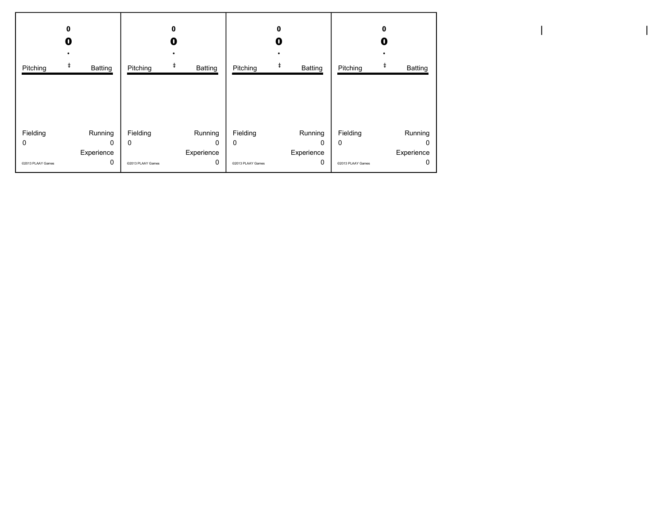|                                    | 0<br>O                          |                                    | 0<br>O                                 |                                    | 0<br>0                                 |                                           | 0<br>0                          |
|------------------------------------|---------------------------------|------------------------------------|----------------------------------------|------------------------------------|----------------------------------------|-------------------------------------------|---------------------------------|
| Pitching                           | ŧ<br><b>Batting</b>             | Pitching                           | ŧ<br><b>Batting</b>                    | Pitching                           | ŧ<br>Batting                           | Pitching                                  | ŧ<br>Batting                    |
| Fielding<br>0<br>@2013 PLAAY Games | Running<br>0<br>Experience<br>0 | Fielding<br>0<br>@2013 PLAAY Games | Running<br>$\Omega$<br>Experience<br>0 | Fielding<br>0<br>@2013 PLAAY Games | Running<br>$\Omega$<br>Experience<br>0 | Fielding<br>$\Omega$<br>@2013 PLAAY Games | Running<br>0<br>Experience<br>0 |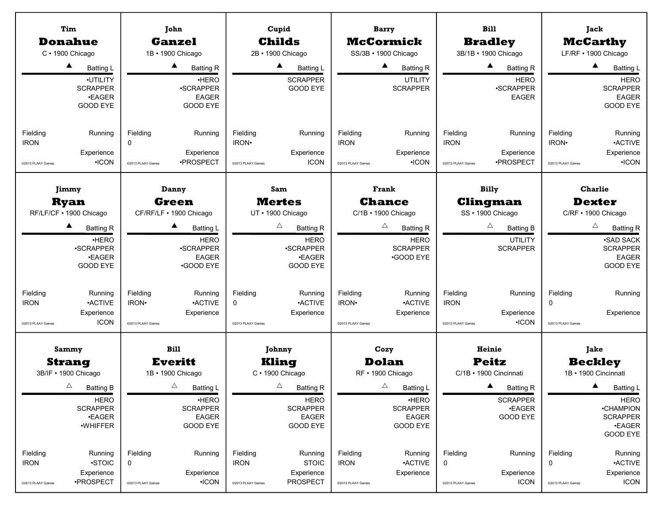|                                              | Tim                                                             |                                    | John                                           |                                        | Cupid                                |                                              | <b>Barry</b>                          |                                              | <b>Bill</b>                              |                                                    | Jack                                                              |
|----------------------------------------------|-----------------------------------------------------------------|------------------------------------|------------------------------------------------|----------------------------------------|--------------------------------------|----------------------------------------------|---------------------------------------|----------------------------------------------|------------------------------------------|----------------------------------------------------|-------------------------------------------------------------------|
|                                              | <b>Donahue</b>                                                  |                                    | <b>Ganzel</b>                                  |                                        | <b>Childs</b>                        |                                              | <b>McCormick</b>                      |                                              | <b>Bradley</b>                           |                                                    | <b>McCarthy</b>                                                   |
|                                              | C · 1900 Chicago                                                |                                    | 1B · 1900 Chicago                              |                                        | 2B · 1900 Chicago                    |                                              | SS/3B · 1900 Chicago                  |                                              | 3B/1B · 1900 Chicago                     |                                                    | LF/RF · 1900 Chicago                                              |
|                                              | ▲<br><b>Batting L</b>                                           |                                    | ▲<br><b>Batting R</b>                          |                                        | ▲<br><b>Batting L</b>                |                                              | ▲<br><b>Batting R</b>                 |                                              | ▲<br><b>Batting R</b>                    |                                                    | $\blacktriangle$<br><b>Batting L</b>                              |
|                                              | ·UTILITY<br><b>SCRAPPER</b><br><b>.EAGER</b><br><b>GOOD EYE</b> |                                    | ·HERO<br>·SCRAPPER<br><b>EAGER</b><br>GOOD EYE |                                        | <b>SCRAPPER</b><br><b>GOOD EYE</b>   |                                              | <b>UTILITY</b><br><b>SCRAPPER</b>     |                                              | <b>HERO</b><br>·SCRAPPER<br><b>EAGER</b> |                                                    | <b>HERO</b><br><b>SCRAPPER</b><br><b>EAGER</b><br><b>GOOD EYE</b> |
| Fielding<br><b>IRON</b><br>@2013 PLAAY Games | Running<br>Experience<br>$\cdot$ ICON                           | Fielding<br>0<br>@2013 PLAAY Games | Running<br>Experience<br>·PROSPECT             | Fielding<br>IRON·<br>@2013 PLAAY Games | Running<br>Experience<br><b>ICON</b> | Fielding<br><b>IRON</b><br>@2013 PLAAY Games | Running<br>Experience<br>$\cdot$ ICON | Fielding<br><b>IRON</b><br>@2013 PLAAY Games | Running<br>Experience<br>·PROSPECT       | Fielding<br>IRON <sup>.</sup><br>@2013 PLAAY Games | Running<br><b>ACTIVE</b><br>Experience<br>$\cdot$ ICON            |
|                                              | Jimmy                                                           |                                    | Danny                                          |                                        | Sam                                  |                                              | Frank                                 |                                              | <b>Billy</b>                             |                                                    | <b>Charlie</b>                                                    |
|                                              | <b>Ryan</b>                                                     |                                    | Green                                          |                                        | <b>Mertes</b>                        |                                              | <b>Chance</b>                         |                                              | Clingman                                 |                                                    | <b>Dexter</b>                                                     |
|                                              | RF/LF/CF · 1900 Chicago                                         |                                    | CF/RF/LF . 1900 Chicago                        |                                        | UT • 1900 Chicago                    |                                              | C/1B · 1900 Chicago                   |                                              | SS · 1900 Chicago                        |                                                    | C/RF · 1900 Chicago                                               |
|                                              | ▲<br><b>Batting R</b>                                           |                                    | ▲<br><b>Batting L</b>                          |                                        | Δ<br><b>Batting R</b>                |                                              | Δ<br><b>Batting R</b>                 |                                              | Δ<br><b>Batting B</b>                    |                                                    | $\triangle$<br><b>Batting R</b>                                   |
|                                              | ·HERO                                                           |                                    | <b>HERO</b>                                    |                                        | <b>HERO</b>                          |                                              | <b>HERO</b>                           |                                              | <b>UTILITY</b>                           |                                                    | <b>-SAD SACK</b>                                                  |
|                                              | ·SCRAPPER                                                       |                                    | ·SCRAPPER                                      |                                        | ·SCRAPPER                            |                                              | <b>SCRAPPER</b>                       |                                              | <b>SCRAPPER</b>                          |                                                    | <b>SCRAPPER</b>                                                   |
|                                              | <b>.EAGER</b><br><b>GOOD EYE</b>                                |                                    | <b>EAGER</b><br><b>•GOOD EYE</b>               |                                        | <b>.EAGER</b><br><b>GOOD EYE</b>     |                                              | <b>GOOD EYE</b>                       |                                              |                                          |                                                    | <b>EAGER</b><br>GOOD EYE                                          |
|                                              |                                                                 |                                    |                                                |                                        |                                      |                                              |                                       |                                              |                                          |                                                    |                                                                   |
| Fielding                                     | Running                                                         | Fielding                           | Running                                        | Fielding                               | Running                              | Fielding                                     | Running                               | Fielding                                     | Running                                  | Fielding                                           | Running                                                           |
| <b>IRON</b>                                  | <b>ACTIVE</b>                                                   | IRON·                              | <b>ACTIVE</b>                                  | $\mathbf 0$                            | <b>ACTIVE</b>                        | IRON·                                        | <b>ACTIVE</b>                         | <b>IRON</b>                                  |                                          | $\mathbf 0$                                        |                                                                   |
|                                              | Experience                                                      |                                    | Experience                                     |                                        | Experience                           |                                              | Experience                            |                                              | Experience                               |                                                    | Experience                                                        |
| @2013 PLAAY Games                            | <b>ICON</b>                                                     | @2013 PLAAY Games                  |                                                | @2013 PLAAY Games                      |                                      | @2013 PLAAY Games                            |                                       | @2013 PLAAY Games                            | $\cdot$ ICON                             | @2013 PLAAY Games                                  |                                                                   |
|                                              | Sammy                                                           |                                    | <b>Bill</b>                                    |                                        | Johnny                               |                                              | Cozy                                  |                                              | Heinie                                   |                                                    | Jake                                                              |
|                                              | <b>Strang</b><br>3B/IF . 1900 Chicago                           |                                    | <b>Everitt</b><br>1B · 1900 Chicago            |                                        | Kling<br>C · 1900 Chicago            |                                              | <b>Dolan</b><br>RF • 1900 Chicago     |                                              | <b>Peitz</b><br>C/1B · 1900 Cincinnati   |                                                    | <b>Beckley</b><br>1B · 1900 Cincinnati                            |
|                                              | $\triangle$                                                     |                                    | $\triangle$                                    |                                        | $\Delta$                             |                                              | $\triangle$                           |                                              |                                          |                                                    | $\blacktriangle$                                                  |
|                                              | <b>Batting B</b>                                                |                                    | Batting L                                      |                                        | <b>Batting R</b>                     |                                              | <b>Batting L</b>                      |                                              | <b>Batting R</b>                         |                                                    | <b>Batting L</b>                                                  |
|                                              | <b>HERO</b><br><b>SCRAPPER</b>                                  |                                    | ·HERO<br><b>SCRAPPER</b>                       |                                        | <b>HERO</b><br><b>SCRAPPER</b>       |                                              | ·HERO<br><b>SCRAPPER</b>              |                                              | <b>SCRAPPER</b><br><b>.EAGER</b>         |                                                    | <b>HERO</b><br><b>•CHAMPION</b>                                   |
|                                              | <b>•EAGER</b>                                                   |                                    | <b>EAGER</b>                                   |                                        | EAGER                                |                                              | <b>EAGER</b>                          |                                              | GOOD EYE                                 |                                                    | <b>SCRAPPER</b>                                                   |
|                                              | ·WHIFFER                                                        |                                    | <b>GOOD EYE</b>                                |                                        | <b>GOOD EYE</b>                      |                                              | GOOD EYE                              |                                              |                                          |                                                    | <b>•EAGER</b><br><b>GOOD EYE</b>                                  |
| Fielding                                     | Running                                                         | Fielding                           | Running                                        | Fielding                               | Running                              | Fielding                                     | Running                               | Fielding                                     | Running                                  | Fielding                                           | Running                                                           |
| <b>IRON</b>                                  | ·STOIC                                                          | 0                                  |                                                | <b>IRON</b>                            | <b>STOIC</b>                         | <b>IRON</b>                                  | <b>ACTIVE</b>                         | 0                                            |                                          | 0                                                  | <b>ACTIVE</b>                                                     |
|                                              | Experience                                                      |                                    | Experience                                     |                                        | Experience                           |                                              | Experience                            |                                              | Experience                               |                                                    | Experience                                                        |
| @2013 PLAAY Games                            | ·PROSPECT                                                       | @2013 PLAAY Games                  | $\cdot$ ICON                                   | @2013 PLAAY Games                      | <b>PROSPECT</b>                      | @2013 PLAAY Games                            |                                       | @2013 PLAAY Games                            | <b>ICON</b>                              | @2013 PLAAY Games                                  | <b>ICON</b>                                                       |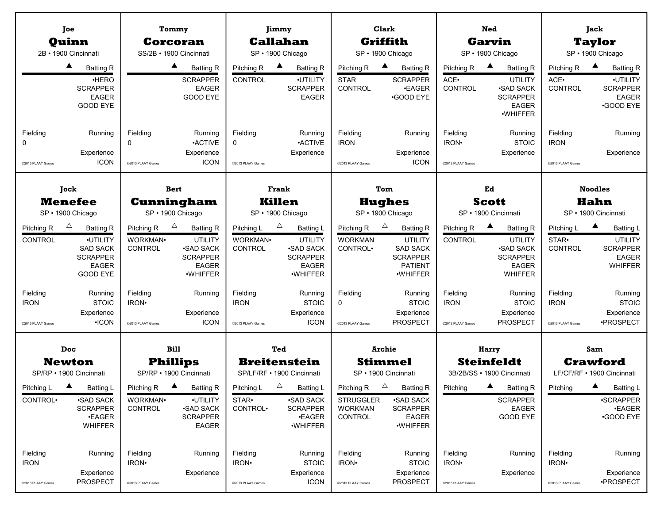|                                              | Joe                                                                                                        | Tommy                                                        |                                                                                                |                                                    | Jimmy                                                                                                         |                                                      | Clark                                                                                                                 |                                                    | <b>Ned</b>                                                                                            |                                                    | Jack                                                                                                        |  |  |
|----------------------------------------------|------------------------------------------------------------------------------------------------------------|--------------------------------------------------------------|------------------------------------------------------------------------------------------------|----------------------------------------------------|---------------------------------------------------------------------------------------------------------------|------------------------------------------------------|-----------------------------------------------------------------------------------------------------------------------|----------------------------------------------------|-------------------------------------------------------------------------------------------------------|----------------------------------------------------|-------------------------------------------------------------------------------------------------------------|--|--|
|                                              | Quinn<br>2B · 1900 Cincinnati                                                                              | Corcoran<br>SS/2B · 1900 Cincinnati                          |                                                                                                |                                                    | <b>Callahan</b><br>SP · 1900 Chicago                                                                          |                                                      | Griffith<br>SP · 1900 Chicago                                                                                         |                                                    | <b>Garvin</b><br>SP · 1900 Chicago                                                                    |                                                    | <b>Taylor</b><br>SP · 1900 Chicago                                                                          |  |  |
|                                              | ▲                                                                                                          |                                                              | $\blacktriangle$                                                                               |                                                    | $\blacktriangle$                                                                                              |                                                      | $\blacktriangle$                                                                                                      |                                                    | $\blacktriangle$                                                                                      |                                                    | $\blacktriangle$                                                                                            |  |  |
|                                              | <b>Batting R</b><br>·HERO<br><b>SCRAPPER</b><br><b>EAGER</b><br>GOOD EYE                                   |                                                              | <b>Batting R</b><br><b>SCRAPPER</b><br><b>EAGER</b><br>GOOD EYE                                | Pitching R<br>CONTROL                              | <b>Batting R</b><br>·UTILITY<br><b>SCRAPPER</b><br><b>EAGER</b>                                               | Pitching R<br><b>STAR</b><br>CONTROL                 | <b>Batting R</b><br><b>SCRAPPER</b><br><b>.EAGER</b><br><b>GOOD EYE</b>                                               | Pitching R<br>ACE.<br>CONTROL                      | <b>Batting R</b><br><b>UTILITY</b><br><b>.SAD SACK</b><br><b>SCRAPPER</b><br><b>EAGER</b><br>·WHIFFER | Pitching R<br>ACE.<br>CONTROL                      | <b>Batting R</b><br>·UTILITY<br><b>SCRAPPER</b><br><b>EAGER</b><br><b>•GOOD EYE</b>                         |  |  |
| Fielding<br>0<br>@2013 PLAAY Games           | Running<br>Experience<br><b>ICON</b>                                                                       | Fielding<br>0<br>@2013 PLAAY Games                           | Running<br><b>ACTIVE</b><br>Experience<br><b>ICON</b>                                          | Fielding<br>0<br>@2013 PLAAY Games                 | Running<br><b>ACTIVE</b><br>Experience                                                                        | Fielding<br><b>IRON</b><br>@2013 PLAAY Games         | Running<br>Experience<br><b>ICON</b>                                                                                  | Fielding<br>IRON <sup>.</sup><br>@2013 PLAAY Games | Running<br><b>STOIC</b><br>Experience                                                                 | Fielding<br><b>IRON</b><br>@2013 PLAAY Games       | Running<br>Experience                                                                                       |  |  |
|                                              | Jock                                                                                                       | <b>Bert</b>                                                  |                                                                                                |                                                    | Frank                                                                                                         |                                                      | Tom                                                                                                                   |                                                    | Ed                                                                                                    | <b>Noodles</b>                                     |                                                                                                             |  |  |
|                                              | <b>Menefee</b>                                                                                             | Cunningham                                                   |                                                                                                |                                                    | <b>Killen</b>                                                                                                 |                                                      | <b>Hughes</b>                                                                                                         |                                                    | <b>Scott</b>                                                                                          |                                                    | <b>Hahn</b>                                                                                                 |  |  |
|                                              | SP · 1900 Chicago                                                                                          | SP · 1900 Chicago                                            |                                                                                                |                                                    | SP · 1900 Chicago                                                                                             |                                                      | SP · 1900 Chicago                                                                                                     |                                                    | SP · 1900 Cincinnati                                                                                  |                                                    | SP · 1900 Cincinnati                                                                                        |  |  |
| Pitching R<br><b>CONTROL</b>                 | △<br><b>Batting R</b><br>·UTILITY<br><b>SAD SACK</b><br><b>SCRAPPER</b><br><b>EAGER</b><br><b>GOOD EYE</b> | $\triangle$<br>Pitching R<br>WORKMAN <sup>.</sup><br>CONTROL | <b>Batting R</b><br>UTILITY<br><b>.SAD SACK</b><br><b>SCRAPPER</b><br><b>EAGER</b><br>·WHIFFER | Pitching L<br>WORKMAN·<br>CONTROL                  | $\triangle$<br><b>Batting L</b><br>UTILITY<br><b>.SAD SACK</b><br><b>SCRAPPER</b><br><b>EAGER</b><br>·WHIFFER | Pitching R<br><b>WORKMAN</b><br>CONTROL <sup>.</sup> | $\triangle$<br><b>Batting R</b><br><b>UTILITY</b><br><b>SAD SACK</b><br><b>SCRAPPER</b><br><b>PATIENT</b><br>·WHIFFER | Pitching R<br><b>CONTROL</b>                       | <b>Batting R</b><br>UTILITY<br><b>.SAD SACK</b><br><b>SCRAPPER</b><br><b>EAGER</b><br><b>WHIFFER</b>  | Pitching L<br>STAR <sup>.</sup><br>CONTROL         | $\blacktriangle$<br><b>Batting L</b><br><b>UTILITY</b><br><b>SCRAPPER</b><br><b>EAGER</b><br><b>WHIFFER</b> |  |  |
| Fielding<br><b>IRON</b><br>@2013 PLAAY Games | Running<br><b>STOIC</b><br>Experience<br>$\cdot$ ICON                                                      | Fielding<br>IRON <sup>.</sup><br>@2013 PLAAY Games           | Running<br>Experience<br><b>ICON</b>                                                           | Fielding<br><b>IRON</b><br>@2013 PLAAY Games       | Running<br><b>STOIC</b><br>Experience<br><b>ICON</b>                                                          | Fielding<br>$\Omega$<br>@2013 PLAAY Games            | Running<br><b>STOIC</b><br>Experience<br><b>PROSPECT</b>                                                              | Fielding<br><b>IRON</b><br>@2013 PLAAY Games       | Running<br><b>STOIC</b><br>Experience<br><b>PROSPECT</b>                                              | Fielding<br><b>IRON</b><br>@2013 PLAAY Games       | Running<br><b>STOIC</b><br>Experience<br>·PROSPECT                                                          |  |  |
|                                              | <b>Doc</b><br><b>Newton</b><br>SP/RP · 1900 Cincinnati                                                     | <b>Bill</b><br><b>Phillips</b><br>SP/RP · 1900 Cincinnati    |                                                                                                |                                                    | Ted<br><b>Breitenstein</b><br>SP/LF/RF • 1900 Cincinnati                                                      |                                                      | <b>Archie</b><br><b>Stimmel</b><br>SP · 1900 Cincinnati                                                               |                                                    | Harry<br><b>Steinfeldt</b><br>3B/2B/SS · 1900 Cincinnati                                              |                                                    | Sam<br><b>Crawford</b><br>LF/CF/RF • 1900 Cincinnati                                                        |  |  |
|                                              |                                                                                                            | $\blacktriangle$                                             |                                                                                                |                                                    | $\Delta$                                                                                                      | Pitching R                                           | $\Delta$                                                                                                              |                                                    |                                                                                                       |                                                    |                                                                                                             |  |  |
| Pitching L<br>CONTROL <sup>.</sup>           | Batting L<br><b>-SAD SACK</b><br><b>SCRAPPER</b><br><b>•EAGER</b><br><b>WHIFFER</b>                        | Pitching R<br>WORKMAN.<br>CONTROL                            | <b>Batting R</b><br>·UTILITY<br><b>.SAD SACK</b><br><b>SCRAPPER</b><br><b>EAGER</b>            | Pitching L<br>STAR•<br>CONTROL <sup>.</sup>        | Batting L<br><b>.SAD SACK</b><br><b>SCRAPPER</b><br><b>•EAGER</b><br>·WHIFFER                                 | <b>STRUGGLER</b><br><b>WORKMAN</b><br>CONTROL        | <b>Batting R</b><br><b>.SAD SACK</b><br><b>SCRAPPER</b><br><b>EAGER</b><br>·WHIFFER                                   | Pitching                                           | <b>Batting R</b><br><b>SCRAPPER</b><br><b>EAGER</b><br>GOOD EYE                                       | Pitching                                           | <b>Batting L</b><br>·SCRAPPER<br><b>•EAGER</b><br><b>•GOOD EYE</b>                                          |  |  |
| Fielding<br><b>IRON</b><br>@2013 PLAAY Games | Running<br>Experience<br><b>PROSPECT</b>                                                                   | Fielding<br>IRON <sup>.</sup><br>@2013 PLAAY Games           | Running<br>Experience                                                                          | Fielding<br>IRON <sup>.</sup><br>@2013 PLAAY Games | Running<br><b>STOIC</b><br>Experience<br><b>ICON</b>                                                          | Fielding<br>IRON <sup>.</sup><br>@2013 PLAAY Games   | Running<br><b>STOIC</b><br>Experience<br><b>PROSPECT</b>                                                              | Fielding<br>IRON <sup>.</sup><br>@2013 PLAAY Games | Running<br>Experience                                                                                 | Fielding<br>IRON <sup>.</sup><br>@2013 PLAAY Games | Running<br>Experience<br>·PROSPECT                                                                          |  |  |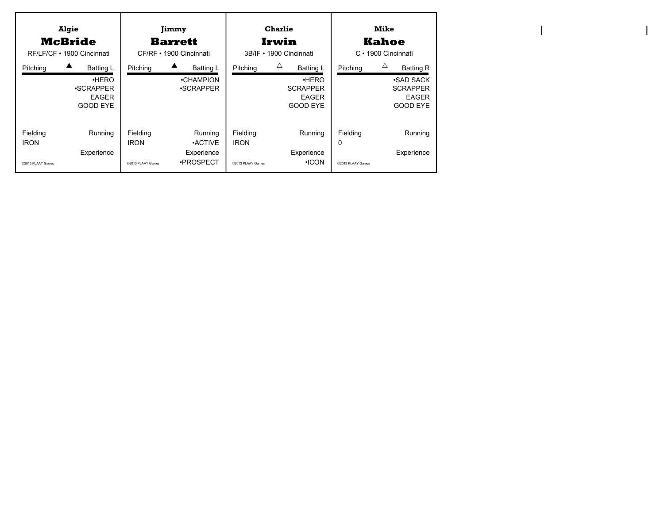| Algie<br><b>McBride</b><br>RF/LF/CF • 1900 Cincinnati |                                                                                 | Jimmy<br>Barrett<br>CF/RF • 1900 Cincinnati  |                                                     |                                              | <b>Charlie</b><br>Irwin<br>3B/IF • 1900 Cincinnati                            | <b>Mike</b><br>Kahoe<br>$C \cdot 1900$ Cincinnati |                                                                                          |  |
|-------------------------------------------------------|---------------------------------------------------------------------------------|----------------------------------------------|-----------------------------------------------------|----------------------------------------------|-------------------------------------------------------------------------------|---------------------------------------------------|------------------------------------------------------------------------------------------|--|
| Pitching                                              | <b>Batting L</b><br>•HERO<br><b>SCRAPPER</b><br><b>EAGER</b><br><b>GOOD EYE</b> | Pitching                                     | <b>Batting L</b><br>•CHAMPION<br><b>.SCRAPPER</b>   | Pitching                                     | Δ<br><b>Batting L</b><br>•HERO<br><b>SCRAPPER</b><br><b>EAGER</b><br>GOOD EYE | Pitching                                          | Δ<br><b>Batting R</b><br>∙SAD SACK<br><b>SCRAPPER</b><br><b>EAGER</b><br><b>GOOD EYE</b> |  |
| Fielding<br><b>IRON</b><br>@2013 PLAAY Games          | Running<br>Experience                                                           | Fielding<br><b>IRON</b><br>@2013 PLAAY Games | Running<br><b>ACTIVE</b><br>Experience<br>•PROSPECT | Fielding<br><b>IRON</b><br>@2013 PLAAY Games | Running<br>Experience<br>$\cdot$ ICON                                         | Fielding<br>$\mathbf{0}$<br>@2013 PLAAY Games     | Running<br>Experience                                                                    |  |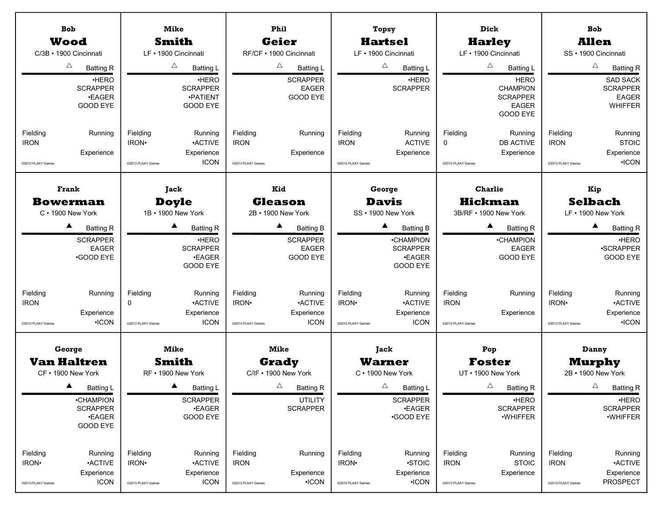| <b>Bob</b><br><b>Wood</b><br>C/3B · 1900 Cincinnati<br>Δ<br><b>Batting R</b><br><b>HERO</b><br><b>SCRAPPER</b><br><b>•EAGER</b><br>GOOD EYE<br>Fielding<br>Running<br><b>IRON</b><br>Experience<br>@2013 PLAAY Games                        | <b>Mike</b><br><b>Smith</b><br>LF · 1900 Cincinnati<br>Δ<br><b>Batting L</b><br>·HERO<br><b>SCRAPPER</b><br><b>•PATIENT</b><br><b>GOOD EYE</b><br>Fielding<br>Running<br><b>ACTIVE</b><br>IRON <sup>.</sup><br>Experience<br><b>ICON</b><br>@2013 PLAAY Games | Phil<br><b>Geier</b><br>RF/CF · 1900 Cincinnati<br>$\triangle$<br>Batting L<br><b>SCRAPPER</b><br><b>EAGER</b><br>GOOD EYE<br>Fielding<br>Running<br><b>IRON</b><br>Experience<br>@2013 PLAAY Games                                               | Topsy<br><b>Hartsel</b><br>LF · 1900 Cincinnati<br>$\triangle$<br><b>Batting L</b><br>·HERO<br><b>SCRAPPER</b><br>Fielding<br>Running<br><b>ACTIVE</b><br><b>IRON</b><br>Experience<br>@2013 PLAAY Games                                                   | Dick<br><b>Harley</b><br>LF · 1900 Cincinnati<br>Δ<br><b>Batting L</b><br><b>HERO</b><br><b>CHAMPION</b><br><b>SCRAPPER</b><br><b>EAGER</b><br><b>GOOD EYE</b><br>Fielding<br>Running<br><b>DB ACTIVE</b><br>0<br>Experience<br>@2013 PLAAY Games | <b>Bob</b><br><b>Allen</b><br>SS · 1900 Cincinnati<br>$\triangle$<br><b>Batting R</b><br><b>SAD SACK</b><br><b>SCRAPPER</b><br><b>EAGER</b><br>WHIFFER<br>Fielding<br>Running<br><b>STOIC</b><br><b>IRON</b><br>Experience<br>$\cdot$ ICON<br>@2013 PLAAY Games |
|---------------------------------------------------------------------------------------------------------------------------------------------------------------------------------------------------------------------------------------------|---------------------------------------------------------------------------------------------------------------------------------------------------------------------------------------------------------------------------------------------------------------|---------------------------------------------------------------------------------------------------------------------------------------------------------------------------------------------------------------------------------------------------|------------------------------------------------------------------------------------------------------------------------------------------------------------------------------------------------------------------------------------------------------------|---------------------------------------------------------------------------------------------------------------------------------------------------------------------------------------------------------------------------------------------------|-----------------------------------------------------------------------------------------------------------------------------------------------------------------------------------------------------------------------------------------------------------------|
| <b>Frank</b><br><b>Bowerman</b><br>C · 1900 New York<br>$\blacktriangle$<br><b>Batting R</b><br><b>SCRAPPER</b><br><b>EAGER</b><br><b>GOOD EYE</b><br>Fielding<br>Running<br><b>IRON</b><br>Experience<br>$\cdot$ ICON<br>@2013 PLAAY Games | Jack<br><b>Doyle</b><br>1B • 1900 New York<br>▲<br><b>Batting R</b><br>·HERO<br><b>SCRAPPER</b><br><b>•EAGER</b><br>GOOD EYE<br>Fielding<br>Running<br><b>ACTIVE</b><br>$\Omega$<br>Experience<br><b>ICON</b><br>@2013 PLAAY Games                            | Kid<br><b>Gleason</b><br>2B • 1900 New York<br>$\blacktriangle$<br><b>Batting B</b><br><b>SCRAPPER</b><br><b>EAGER</b><br>GOOD EYE<br>Fielding<br>Running<br>IRON <sup>.</sup><br><b>ACTIVE</b><br>Experience<br><b>ICON</b><br>@2013 PLAAY Games | George<br><b>Davis</b><br>SS · 1900 New York<br><b>Batting B</b><br><b>•CHAMPION</b><br><b>SCRAPPER</b><br><b>•EAGER</b><br><b>GOOD EYE</b><br>Fielding<br>Running<br>IRON <sup>.</sup><br><b>ACTIVE</b><br>Experience<br><b>ICON</b><br>@2013 PLAAY Games | <b>Charlie</b><br><b>Hickman</b><br>3B/RF . 1900 New York<br>$\blacktriangle$<br><b>Batting R</b><br>•CHAMPION<br><b>EAGER</b><br>GOOD EYE<br>Fielding<br>Running<br><b>IRON</b><br>Experience<br>@2013 PLAAY Games                               | Kip<br><b>Selbach</b><br>LF . 1900 New York<br>▲<br><b>Batting R</b><br><b>HERO</b><br>·SCRAPPER<br>GOOD EYE<br>Fielding<br>Running<br>IRON <sup>.</sup><br><b>•ACTIVE</b><br>Experience<br>$\cdot$ ICON<br>@2013 PLAAY Games                                   |
| George<br><b>Van Haltren</b><br>CF • 1900 New York<br><b>Batting L</b><br>•CHAMPION<br><b>SCRAPPER</b><br><b>•EAGER</b><br>GOOD EYE<br>Fielding<br>Running<br>IRON·<br><b>ACTIVE</b>                                                        | <b>Mike</b><br>Smith<br>RF • 1900 New York<br>Batting L<br><b>SCRAPPER</b><br><b>•EAGER</b><br><b>GOOD EYE</b><br>Fielding<br>Running<br>IRON <sup>.</sup><br><b>ACTIVE</b>                                                                                   | <b>Mike</b><br><b>Grady</b><br>C/IF . 1900 New York<br>$\triangle$<br><b>Batting R</b><br><b>UTILITY</b><br><b>SCRAPPER</b><br>Fielding<br>Running<br><b>IRON</b>                                                                                 | Jack<br><b>Warner</b><br>C · 1900 New York<br>Δ<br><b>Batting L</b><br><b>SCRAPPER</b><br><b>•EAGER</b><br><b>GOOD EYE</b><br>Fielding<br>Running<br>IRON <sup>.</sup><br>·STOIC                                                                           | Pop<br><b>Foster</b><br>UT • 1900 New York<br>Δ<br><b>Batting R</b><br>·HERO<br><b>SCRAPPER</b><br>·WHIFFER<br>Fielding<br>Running<br><b>IRON</b><br><b>STOIC</b>                                                                                 | Danny<br><b>Murphy</b><br>2B • 1900 New York<br>$\triangle$<br><b>Batting R</b><br><b>HERO</b><br><b>SCRAPPER</b><br>·WHIFFER<br>Fielding<br>Running<br><b>ACTIVE</b><br><b>IRON</b>                                                                            |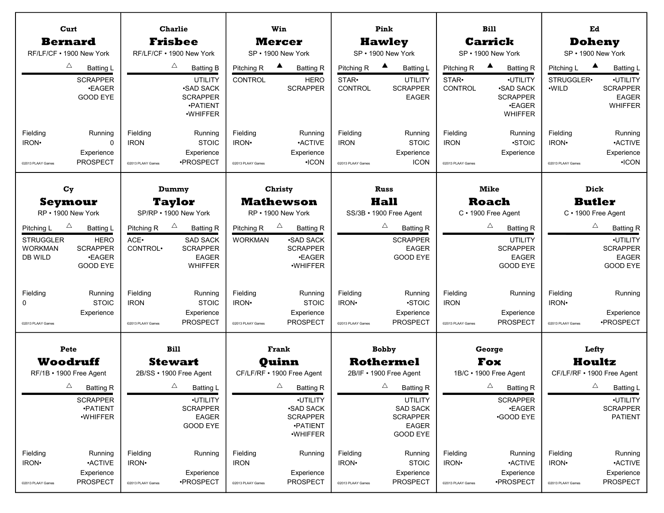| Curt                                               |                                                     | <b>Charlie</b>                               |                                                                               | Win                                    |                                                         | Pink                                         |                                                      | <b>Bill</b>                                  |                                                                             | Ed                                          |                                                        |
|----------------------------------------------------|-----------------------------------------------------|----------------------------------------------|-------------------------------------------------------------------------------|----------------------------------------|---------------------------------------------------------|----------------------------------------------|------------------------------------------------------|----------------------------------------------|-----------------------------------------------------------------------------|---------------------------------------------|--------------------------------------------------------|
| <b>Bernard</b>                                     |                                                     | <b>Frisbee</b>                               |                                                                               | <b>Mercer</b>                          |                                                         | <b>Hawley</b>                                |                                                      | <b>Carrick</b>                               |                                                                             | <b>Doheny</b>                               |                                                        |
| RF/LF/CF • 1900 New York                           |                                                     | RF/LF/CF . 1900 New York                     |                                                                               | SP · 1900 New York                     |                                                         | SP · 1900 New York                           |                                                      |                                              | SP · 1900 New York                                                          | SP · 1900 New York                          |                                                        |
| Δ<br>Δ<br><b>Batting L</b><br><b>Batting B</b>     |                                                     | Pitching R                                   | $\blacktriangle$<br><b>Batting R</b>                                          | Pitching R                             | $\blacktriangle$<br><b>Batting L</b>                    | Pitching R                                   | ▲<br><b>Batting R</b>                                | ▲<br>Pitching L                              | <b>Batting L</b>                                                            |                                             |                                                        |
|                                                    | <b>SCRAPPER</b><br><b>•EAGER</b><br><b>GOOD EYE</b> |                                              | <b>UTILITY</b><br><b>.SAD SACK</b><br><b>SCRAPPER</b><br>·PATIENT<br>·WHIFFER | <b>CONTROL</b>                         | <b>HERO</b><br><b>SCRAPPER</b>                          | STAR <sup>.</sup><br><b>CONTROL</b>          | <b>UTILITY</b><br><b>SCRAPPER</b><br><b>EAGER</b>    | STAR.<br>CONTROL                             | ·UTILITY<br><b>.SAD SACK</b><br><b>SCRAPPER</b><br>•EAGER<br><b>WHIFFER</b> | STRUGGLER.<br>·WILD                         | ·UTILITY<br><b>SCRAPPER</b><br><b>EAGER</b><br>WHIFFER |
| Fielding<br>IRON <sup>.</sup><br>@2013 PLAAY Games | Running<br>0<br>Experience<br><b>PROSPECT</b>       | Fielding<br><b>IRON</b><br>@2013 PLAAY Games | Running<br><b>STOIC</b><br>Experience<br>·PROSPECT                            | Fielding<br>IRON·<br>@2013 PLAAY Games | Running<br><b>-ACTIVE</b><br>Experience<br>$\cdot$ ICON | Fielding<br><b>IRON</b><br>@2013 PLAAY Games | Running<br><b>STOIC</b><br>Experience<br><b>ICON</b> | Fielding<br><b>IRON</b><br>@2013 PLAAY Games | Running<br>·STOIC<br>Experience                                             | Fielding<br>IRON·<br>@2013 PLAAY Games      | Running<br><b>ACTIVE</b><br>Experience<br>$\cdot$ ICON |
| $C_{\rm V}$                                        |                                                     | Dummy                                        |                                                                               | <b>Christy</b>                         |                                                         | Russ                                         |                                                      | <b>Mike</b>                                  |                                                                             | Dick                                        |                                                        |
|                                                    | Seymour                                             | <b>Taylor</b>                                |                                                                               | <b>Mathewson</b>                       |                                                         | Hall                                         |                                                      | <b>Roach</b>                                 |                                                                             | <b>Butler</b>                               |                                                        |
|                                                    | RP · 1900 New York                                  |                                              | SP/RP . 1900 New York                                                         | RP . 1900 New York                     |                                                         | SS/3B · 1900 Free Agent                      |                                                      | C · 1900 Free Agent                          |                                                                             | C · 1900 Free Agent                         |                                                        |
| Pitching L<br><b>STRUGGLER</b>                     | Δ<br><b>Batting L</b><br><b>HERO</b>                | Pitching R<br>ACE.                           | $\triangle$<br><b>Batting R</b><br><b>SAD SACK</b>                            | Pitching R<br><b>WORKMAN</b>           | $\triangle$<br><b>Batting R</b><br><b>.SAD SACK</b>     | Δ<br><b>Batting R</b><br><b>SCRAPPER</b>     |                                                      | Δ<br><b>Batting R</b><br><b>UTILITY</b>      |                                                                             | $\triangle$<br><b>Batting R</b><br>·UTILITY |                                                        |
| <b>WORKMAN</b>                                     | <b>SCRAPPER</b>                                     | CONTROL <sup>.</sup>                         | <b>SCRAPPER</b>                                                               |                                        | <b>SCRAPPER</b>                                         |                                              | <b>EAGER</b>                                         |                                              | <b>SCRAPPER</b>                                                             |                                             | <b>SCRAPPER</b>                                        |
| DB WILD                                            | <b>•EAGER</b><br>GOOD EYE                           |                                              | <b>EAGER</b><br>WHIFFER                                                       |                                        | <b>.EAGER</b><br>·WHIFFER                               |                                              | <b>GOOD EYE</b>                                      |                                              | <b>EAGER</b><br><b>GOOD EYE</b>                                             |                                             | <b>EAGER</b><br>GOOD EYE                               |
| Fielding<br>$\Omega$                               | Running<br><b>STOIC</b>                             | Fielding<br><b>IRON</b>                      | Running<br><b>STOIC</b>                                                       | Fielding<br>IRON·                      | Running<br><b>STOIC</b>                                 | Fielding<br>IRON <sup>.</sup>                | Running<br>·STOIC                                    | Fielding<br><b>IRON</b>                      | Running                                                                     | Fielding<br>IRON·                           | Running                                                |
|                                                    | Experience                                          |                                              | Experience                                                                    |                                        | Experience                                              |                                              | Experience                                           |                                              | Experience                                                                  |                                             | Experience                                             |
| @2013 PLAAY Games                                  |                                                     | @2013 PLAAY Games                            | <b>PROSPECT</b>                                                               | @2013 PLAAY Games                      | <b>PROSPECT</b>                                         | @2013 PLAAY Games                            | <b>PROSPECT</b>                                      | @2013 PLAAY Games                            | <b>PROSPECT</b>                                                             | @2013 PLAAY Games                           | ·PROSPECT                                              |
| Pete                                               |                                                     | <b>Bill</b>                                  |                                                                               | Frank                                  |                                                         | <b>Bobby</b>                                 |                                                      | George                                       |                                                                             | Lefty                                       |                                                        |
|                                                    | Woodruff                                            |                                              | <b>Stewart</b>                                                                | <b>Ouinn</b>                           |                                                         |                                              | <b>Rothermel</b>                                     | Fox                                          |                                                                             | Houltz                                      |                                                        |
|                                                    | RF/1B • 1900 Free Agent                             |                                              | 2B/SS • 1900 Free Agent                                                       |                                        | CF/LF/RF • 1900 Free Agent                              |                                              | 2B/IF • 1900 Free Agent                              |                                              | 1B/C · 1900 Free Agent                                                      | CF/LF/RF • 1900 Free Agent                  |                                                        |
|                                                    | $\triangle$<br><b>Batting R</b>                     |                                              | $\triangle$<br>Batting L                                                      |                                        | $\triangle$<br><b>Batting R</b>                         |                                              | $\triangle$<br><b>Batting R</b>                      |                                              | Δ<br><b>Batting R</b>                                                       | Δ                                           | <b>Batting L</b>                                       |
|                                                    | <b>SCRAPPER</b>                                     |                                              | ·UTILITY                                                                      |                                        | ·UTILITY                                                |                                              | <b>UTILITY</b>                                       |                                              | <b>SCRAPPER</b>                                                             |                                             | ·UTILITY                                               |
|                                                    | ·PATIENT<br>·WHIFFER                                |                                              | <b>SCRAPPER</b><br><b>EAGER</b>                                               |                                        | <b>-SAD SACK</b><br><b>SCRAPPER</b>                     |                                              | <b>SAD SACK</b><br><b>SCRAPPER</b>                   |                                              | <b>•EAGER</b><br><b>GOOD EYE</b>                                            |                                             | <b>SCRAPPER</b><br><b>PATIENT</b>                      |
|                                                    |                                                     |                                              | GOOD EYE                                                                      |                                        | <b>•PATIENT</b><br>·WHIFFER                             |                                              | <b>EAGER</b><br><b>GOOD EYE</b>                      |                                              |                                                                             |                                             |                                                        |
| Fielding                                           | Running                                             | Fielding                                     | Running                                                                       | Fielding                               | Running                                                 | Fielding                                     | Running                                              | Fielding                                     | Running                                                                     | Fielding                                    | Running                                                |
| IRON·                                              | <b>ACTIVE</b>                                       | IRON <sup>.</sup>                            |                                                                               | <b>IRON</b>                            |                                                         | IRON·                                        | <b>STOIC</b>                                         | IRON·                                        | <b>ACTIVE</b>                                                               | IRON <sup>.</sup>                           | <b>ACTIVE</b>                                          |
|                                                    | Experience                                          |                                              | Experience                                                                    |                                        | Experience                                              |                                              | Experience                                           |                                              | Experience                                                                  |                                             | Experience                                             |
| @2013 PLAAY Games                                  | PROSPECT                                            | @2013 PLAAY Games                            | ·PROSPECT                                                                     | @2013 PLAAY Games                      | PROSPECT                                                | @2013 PLAAY Games                            | <b>PROSPECT</b>                                      | @2013 PLAAY Games                            | ·PROSPECT                                                                   | @2013 PLAAY Games                           | PROSPECT                                               |